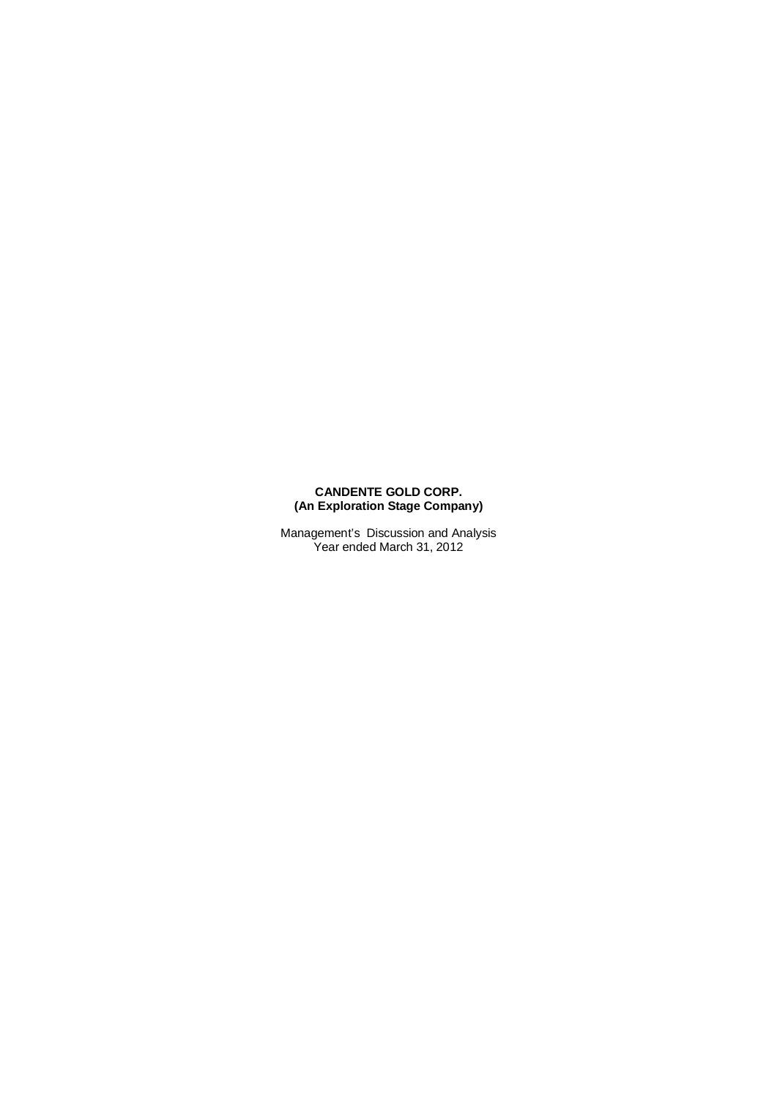#### **CANDENTE GOLD CORP. (An Exploration Stage Company)**

Management's Discussion and Analysis Year ended March 31, 2012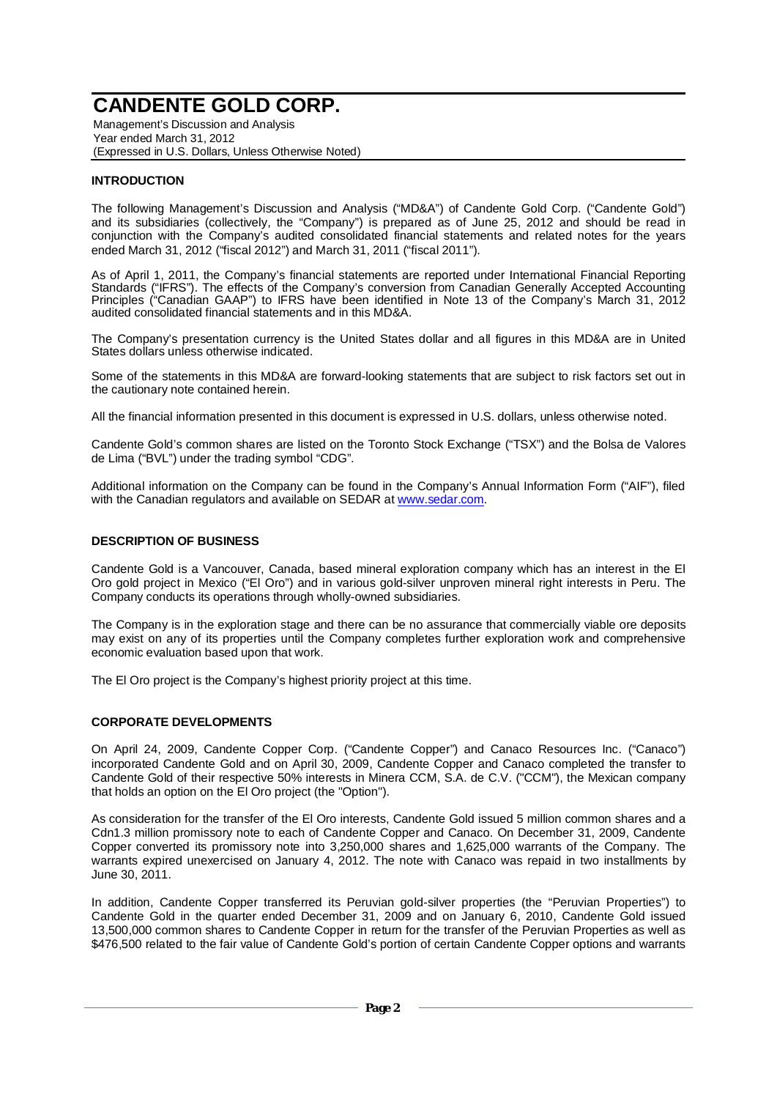Management's Discussion and Analysis Year ended March 31, 2012 (Expressed in U.S. Dollars, Unless Otherwise Noted)

### **INTRODUCTION**

The following Management's Discussion and Analysis ("MD&A") of Candente Gold Corp. ("Candente Gold") and its subsidiaries (collectively, the "Company") is prepared as of June 25, 2012 and should be read in conjunction with the Company's audited consolidated financial statements and related notes for the years ended March 31, 2012 ("fiscal 2012") and March 31, 2011 ("fiscal 2011").

As of April 1, 2011, the Company's financial statements are reported under International Financial Reporting Standards ("IFRS"). The effects of the Company's conversion from Canadian Generally Accepted Accounting Principles ("Canadian GAAP") to IFRS have been identified in Note 13 of the Company's March 31, 2012 audited consolidated financial statements and in this MD&A.

The Company's presentation currency is the United States dollar and all figures in this MD&A are in United States dollars unless otherwise indicated.

Some of the statements in this MD&A are forward-looking statements that are subject to risk factors set out in the cautionary note contained herein.

All the financial information presented in this document is expressed in U.S. dollars, unless otherwise noted.

Candente Gold's common shares are listed on the Toronto Stock Exchange ("TSX") and the Bolsa de Valores de Lima ("BVL") under the trading symbol "CDG".

Additional information on the Company can be found in the Company's Annual Information Form ("AIF"), filed with the Canadian regulators and available on SEDAR at www.sedar.com.

### **DESCRIPTION OF BUSINESS**

Candente Gold is a Vancouver, Canada, based mineral exploration company which has an interest in the El Oro gold project in Mexico ("El Oro") and in various gold-silver unproven mineral right interests in Peru. The Company conducts its operations through wholly-owned subsidiaries.

The Company is in the exploration stage and there can be no assurance that commercially viable ore deposits may exist on any of its properties until the Company completes further exploration work and comprehensive economic evaluation based upon that work.

The El Oro project is the Company's highest priority project at this time.

#### **CORPORATE DEVELOPMENTS**

On April 24, 2009, Candente Copper Corp. ("Candente Copper") and Canaco Resources Inc. ("Canaco") incorporated Candente Gold and on April 30, 2009, Candente Copper and Canaco completed the transfer to Candente Gold of their respective 50% interests in Minera CCM, S.A. de C.V. ("CCM"), the Mexican company that holds an option on the El Oro project (the "Option").

As consideration for the transfer of the El Oro interests, Candente Gold issued 5 million common shares and a Cdn1.3 million promissory note to each of Candente Copper and Canaco. On December 31, 2009, Candente Copper converted its promissory note into 3,250,000 shares and 1,625,000 warrants of the Company. The warrants expired unexercised on January 4, 2012. The note with Canaco was repaid in two installments by June 30, 2011.

In addition, Candente Copper transferred its Peruvian gold-silver properties (the "Peruvian Properties") to Candente Gold in the quarter ended December 31, 2009 and on January 6, 2010, Candente Gold issued 13,500,000 common shares to Candente Copper in return for the transfer of the Peruvian Properties as well as \$476,500 related to the fair value of Candente Gold's portion of certain Candente Copper options and warrants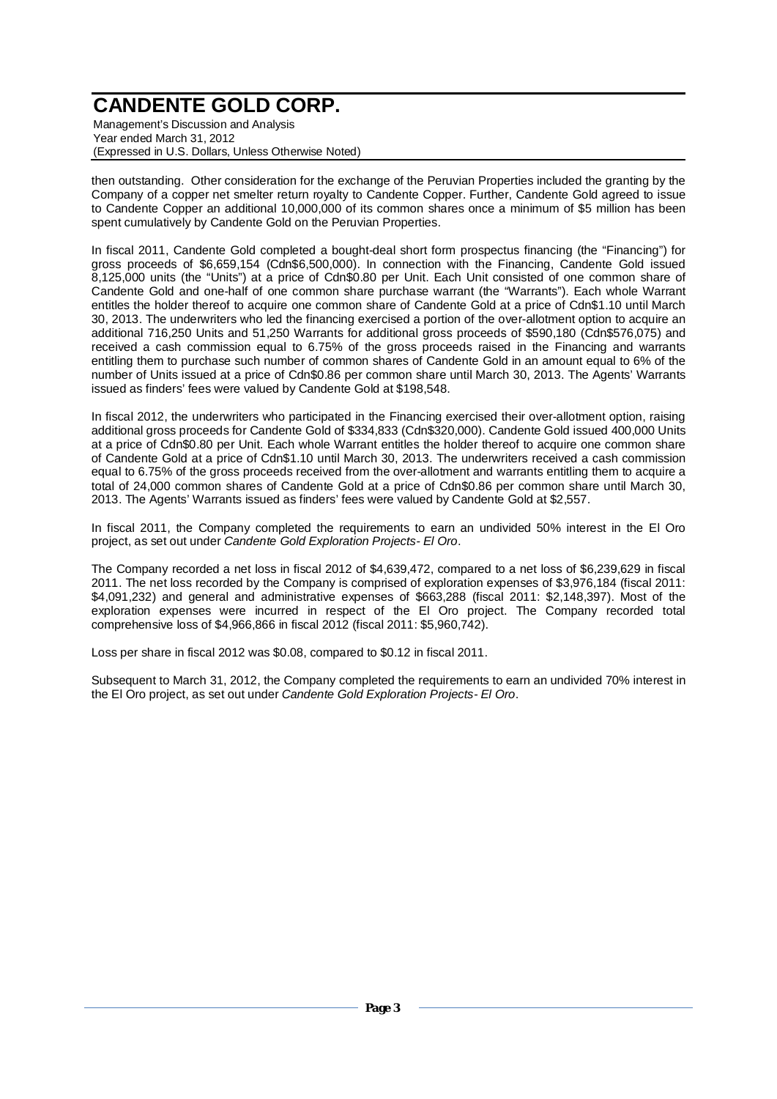Management's Discussion and Analysis Year ended March 31, 2012 (Expressed in U.S. Dollars, Unless Otherwise Noted)

then outstanding. Other consideration for the exchange of the Peruvian Properties included the granting by the Company of a copper net smelter return royalty to Candente Copper. Further, Candente Gold agreed to issue to Candente Copper an additional 10,000,000 of its common shares once a minimum of \$5 million has been spent cumulatively by Candente Gold on the Peruvian Properties.

In fiscal 2011, Candente Gold completed a bought-deal short form prospectus financing (the "Financing") for gross proceeds of \$6,659,154 (Cdn\$6,500,000). In connection with the Financing, Candente Gold issued 8,125,000 units (the "Units") at a price of Cdn\$0.80 per Unit. Each Unit consisted of one common share of Candente Gold and one-half of one common share purchase warrant (the "Warrants"). Each whole Warrant entitles the holder thereof to acquire one common share of Candente Gold at a price of Cdn\$1.10 until March 30, 2013. The underwriters who led the financing exercised a portion of the over-allotment option to acquire an additional 716,250 Units and 51,250 Warrants for additional gross proceeds of \$590,180 (Cdn\$576,075) and received a cash commission equal to 6.75% of the gross proceeds raised in the Financing and warrants entitling them to purchase such number of common shares of Candente Gold in an amount equal to 6% of the number of Units issued at a price of Cdn\$0.86 per common share until March 30, 2013. The Agents' Warrants issued as finders' fees were valued by Candente Gold at \$198,548.

In fiscal 2012, the underwriters who participated in the Financing exercised their over-allotment option, raising additional gross proceeds for Candente Gold of \$334,833 (Cdn\$320,000). Candente Gold issued 400,000 Units at a price of Cdn\$0.80 per Unit. Each whole Warrant entitles the holder thereof to acquire one common share of Candente Gold at a price of Cdn\$1.10 until March 30, 2013. The underwriters received a cash commission equal to 6.75% of the gross proceeds received from the over-allotment and warrants entitling them to acquire a total of 24,000 common shares of Candente Gold at a price of Cdn\$0.86 per common share until March 30, 2013. The Agents' Warrants issued as finders' fees were valued by Candente Gold at \$2,557.

In fiscal 2011, the Company completed the requirements to earn an undivided 50% interest in the El Oro project, as set out under *Candente Gold Exploration Projects- El Oro*.

The Company recorded a net loss in fiscal 2012 of \$4,639,472, compared to a net loss of \$6,239,629 in fiscal 2011. The net loss recorded by the Company is comprised of exploration expenses of \$3,976,184 (fiscal 2011: \$4,091,232) and general and administrative expenses of \$663,288 (fiscal 2011: \$2,148,397). Most of the exploration expenses were incurred in respect of the El Oro project. The Company recorded total comprehensive loss of \$4,966,866 in fiscal 2012 (fiscal 2011: \$5,960,742).

Loss per share in fiscal 2012 was \$0.08, compared to \$0.12 in fiscal 2011.

Subsequent to March 31, 2012, the Company completed the requirements to earn an undivided 70% interest in the El Oro project, as set out under *Candente Gold Exploration Projects- El Oro*.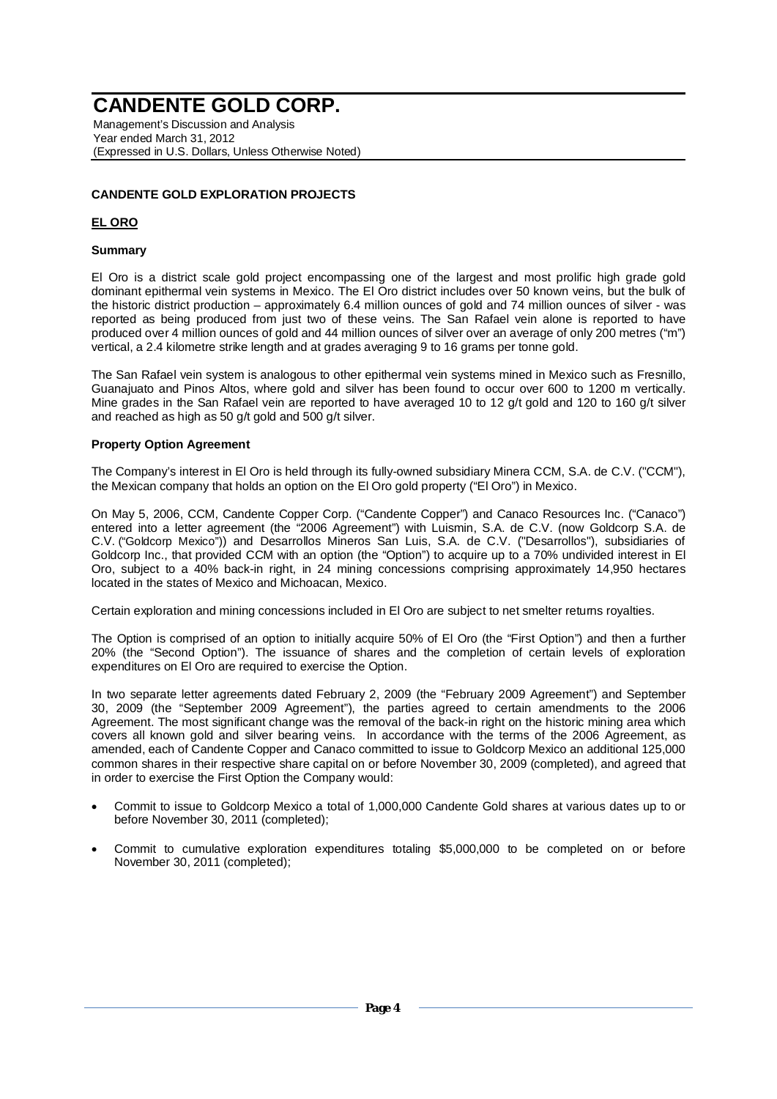Management's Discussion and Analysis Year ended March 31, 2012 (Expressed in U.S. Dollars, Unless Otherwise Noted)

## **CANDENTE GOLD EXPLORATION PROJECTS**

## **EL ORO**

#### **Summary**

El Oro is a district scale gold project encompassing one of the largest and most prolific high grade gold dominant epithermal vein systems in Mexico. The El Oro district includes over 50 known veins, but the bulk of the historic district production – approximately 6.4 million ounces of gold and 74 million ounces of silver - was reported as being produced from just two of these veins. The San Rafael vein alone is reported to have produced over 4 million ounces of gold and 44 million ounces of silver over an average of only 200 metres ("m") vertical, a 2.4 kilometre strike length and at grades averaging 9 to 16 grams per tonne gold.

The San Rafael vein system is analogous to other epithermal vein systems mined in Mexico such as Fresnillo, Guanajuato and Pinos Altos, where gold and silver has been found to occur over 600 to 1200 m vertically. Mine grades in the San Rafael vein are reported to have averaged 10 to 12 g/t gold and 120 to 160 g/t silver and reached as high as 50 g/t gold and 500 g/t silver.

#### **Property Option Agreement**

The Company's interest in El Oro is held through its fully-owned subsidiary Minera CCM, S.A. de C.V. ("CCM"), the Mexican company that holds an option on the El Oro gold property ("El Oro") in Mexico.

On May 5, 2006, CCM, Candente Copper Corp. ("Candente Copper") and Canaco Resources Inc. ("Canaco") entered into a letter agreement (the "2006 Agreement") with Luismin, S.A. de C.V. (now Goldcorp S.A. de C.V. ("Goldcorp Mexico")) and Desarrollos Mineros San Luis, S.A. de C.V. ("Desarrollos"), subsidiaries of Goldcorp Inc., that provided CCM with an option (the "Option") to acquire up to a 70% undivided interest in El Oro, subject to a 40% back-in right, in 24 mining concessions comprising approximately 14,950 hectares located in the states of Mexico and Michoacan, Mexico.

Certain exploration and mining concessions included in El Oro are subject to net smelter returns royalties.

The Option is comprised of an option to initially acquire 50% of El Oro (the "First Option") and then a further 20% (the "Second Option"). The issuance of shares and the completion of certain levels of exploration expenditures on El Oro are required to exercise the Option.

In two separate letter agreements dated February 2, 2009 (the "February 2009 Agreement") and September 30, 2009 (the "September 2009 Agreement"), the parties agreed to certain amendments to the 2006 Agreement. The most significant change was the removal of the back-in right on the historic mining area which covers all known gold and silver bearing veins. In accordance with the terms of the 2006 Agreement, as amended, each of Candente Copper and Canaco committed to issue to Goldcorp Mexico an additional 125,000 common shares in their respective share capital on or before November 30, 2009 (completed), and agreed that in order to exercise the First Option the Company would:

- x Commit to issue to Goldcorp Mexico a total of 1,000,000 Candente Gold shares at various dates up to or before November 30, 2011 (completed);
- Commit to cumulative exploration expenditures totaling \$5,000,000 to be completed on or before November 30, 2011 (completed);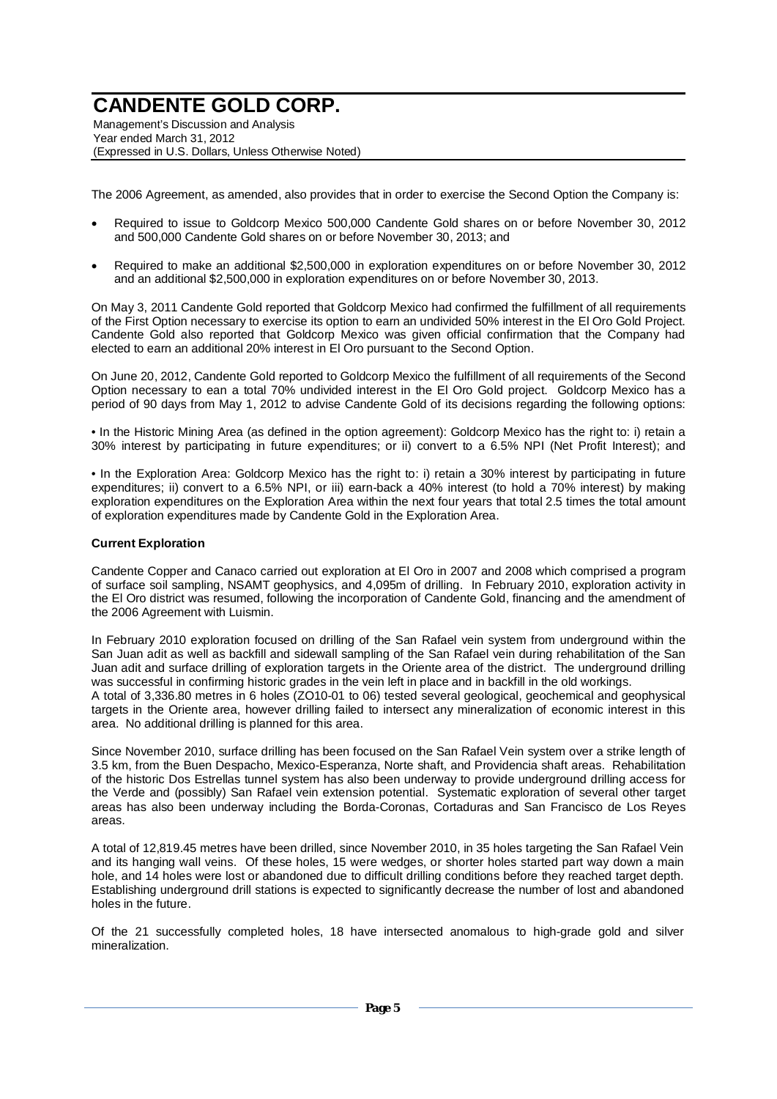Management's Discussion and Analysis Year ended March 31, 2012 (Expressed in U.S. Dollars, Unless Otherwise Noted)

The 2006 Agreement, as amended, also provides that in order to exercise the Second Option the Company is:

- x Required to issue to Goldcorp Mexico 500,000 Candente Gold shares on or before November 30, 2012 and 500,000 Candente Gold shares on or before November 30, 2013; and
- x Required to make an additional \$2,500,000 in exploration expenditures on or before November 30, 2012 and an additional \$2,500,000 in exploration expenditures on or before November 30, 2013.

On May 3, 2011 Candente Gold reported that Goldcorp Mexico had confirmed the fulfillment of all requirements of the First Option necessary to exercise its option to earn an undivided 50% interest in the El Oro Gold Project. Candente Gold also reported that Goldcorp Mexico was given official confirmation that the Company had elected to earn an additional 20% interest in El Oro pursuant to the Second Option.

On June 20, 2012, Candente Gold reported to Goldcorp Mexico the fulfillment of all requirements of the Second Option necessary to ean a total 70% undivided interest in the El Oro Gold project. Goldcorp Mexico has a period of 90 days from May 1, 2012 to advise Candente Gold of its decisions regarding the following options:

• In the Historic Mining Area (as defined in the option agreement): Goldcorp Mexico has the right to: i) retain a 30% interest by participating in future expenditures; or ii) convert to a 6.5% NPI (Net Profit Interest); and

• In the Exploration Area: Goldcorp Mexico has the right to: i) retain a 30% interest by participating in future expenditures; ii) convert to a 6.5% NPI, or iii) earn-back a 40% interest (to hold a 70% interest) by making exploration expenditures on the Exploration Area within the next four years that total 2.5 times the total amount of exploration expenditures made by Candente Gold in the Exploration Area.

#### **Current Exploration**

Candente Copper and Canaco carried out exploration at El Oro in 2007 and 2008 which comprised a program of surface soil sampling, NSAMT geophysics, and 4,095m of drilling. In February 2010, exploration activity in the El Oro district was resumed, following the incorporation of Candente Gold, financing and the amendment of the 2006 Agreement with Luismin.

In February 2010 exploration focused on drilling of the San Rafael vein system from underground within the San Juan adit as well as backfill and sidewall sampling of the San Rafael vein during rehabilitation of the San Juan adit and surface drilling of exploration targets in the Oriente area of the district. The underground drilling was successful in confirming historic grades in the vein left in place and in backfill in the old workings. A total of 3,336.80 metres in 6 holes (ZO10-01 to 06) tested several geological, geochemical and geophysical targets in the Oriente area, however drilling failed to intersect any mineralization of economic interest in this area. No additional drilling is planned for this area.

Since November 2010, surface drilling has been focused on the San Rafael Vein system over a strike length of 3.5 km, from the Buen Despacho, Mexico-Esperanza, Norte shaft, and Providencia shaft areas. Rehabilitation of the historic Dos Estrellas tunnel system has also been underway to provide underground drilling access for the Verde and (possibly) San Rafael vein extension potential. Systematic exploration of several other target areas has also been underway including the Borda-Coronas, Cortaduras and San Francisco de Los Reyes areas.

A total of 12,819.45 metres have been drilled, since November 2010, in 35 holes targeting the San Rafael Vein and its hanging wall veins. Of these holes, 15 were wedges, or shorter holes started part way down a main hole, and 14 holes were lost or abandoned due to difficult drilling conditions before they reached target depth. Establishing underground drill stations is expected to significantly decrease the number of lost and abandoned holes in the future.

Of the 21 successfully completed holes, 18 have intersected anomalous to high-grade gold and silver mineralization.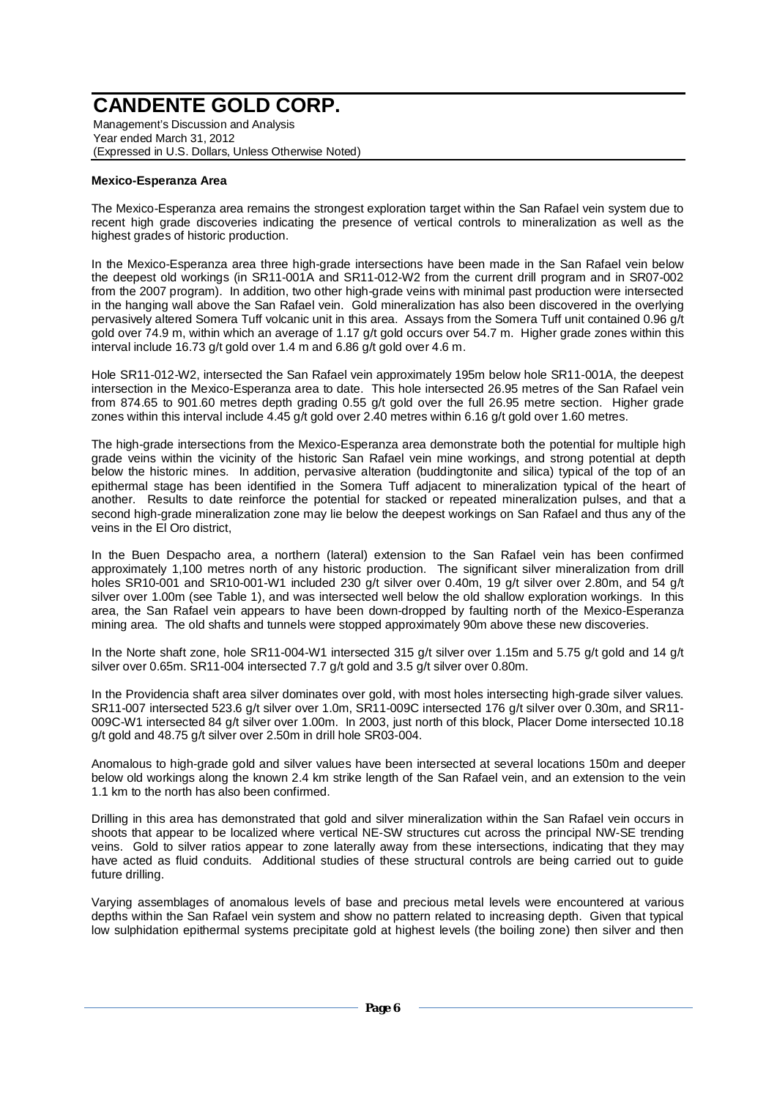Management's Discussion and Analysis Year ended March 31, 2012 (Expressed in U.S. Dollars, Unless Otherwise Noted)

#### **Mexico-Esperanza Area**

The Mexico-Esperanza area remains the strongest exploration target within the San Rafael vein system due to recent high grade discoveries indicating the presence of vertical controls to mineralization as well as the highest grades of historic production.

In the Mexico-Esperanza area three high-grade intersections have been made in the San Rafael vein below the deepest old workings (in SR11-001A and SR11-012-W2 from the current drill program and in SR07-002 from the 2007 program). In addition, two other high-grade veins with minimal past production were intersected in the hanging wall above the San Rafael vein. Gold mineralization has also been discovered in the overlying pervasively altered Somera Tuff volcanic unit in this area. Assays from the Somera Tuff unit contained 0.96 g/t gold over 74.9 m, within which an average of 1.17 g/t gold occurs over 54.7 m. Higher grade zones within this interval include 16.73 g/t gold over 1.4 m and 6.86 g/t gold over 4.6 m.

Hole SR11-012-W2, intersected the San Rafael vein approximately 195m below hole SR11-001A, the deepest intersection in the Mexico-Esperanza area to date. This hole intersected 26.95 metres of the San Rafael vein from 874.65 to 901.60 metres depth grading 0.55 g/t gold over the full 26.95 metre section. Higher grade zones within this interval include 4.45 g/t gold over 2.40 metres within 6.16 g/t gold over 1.60 metres.

The high-grade intersections from the Mexico-Esperanza area demonstrate both the potential for multiple high grade veins within the vicinity of the historic San Rafael vein mine workings, and strong potential at depth below the historic mines. In addition, pervasive alteration (buddingtonite and silica) typical of the top of an epithermal stage has been identified in the Somera Tuff adjacent to mineralization typical of the heart of another. Results to date reinforce the potential for stacked or repeated mineralization pulses, and that a second high-grade mineralization zone may lie below the deepest workings on San Rafael and thus any of the veins in the El Oro district,

In the Buen Despacho area, a northern (lateral) extension to the San Rafael vein has been confirmed approximately 1,100 metres north of any historic production. The significant silver mineralization from drill holes SR10-001 and SR10-001-W1 included 230 g/t silver over 0.40m, 19 g/t silver over 2.80m, and 54 g/t silver over 1.00m (see Table 1), and was intersected well below the old shallow exploration workings. In this area, the San Rafael vein appears to have been down-dropped by faulting north of the Mexico-Esperanza mining area. The old shafts and tunnels were stopped approximately 90m above these new discoveries.

In the Norte shaft zone, hole SR11-004-W1 intersected 315 g/t silver over 1.15m and 5.75 g/t gold and 14 g/t silver over 0.65m. SR11-004 intersected 7.7 g/t gold and 3.5 g/t silver over 0.80m.

In the Providencia shaft area silver dominates over gold, with most holes intersecting high-grade silver values. SR11-007 intersected 523.6 g/t silver over 1.0m, SR11-009C intersected 176 g/t silver over 0.30m, and SR11- 009C-W1 intersected 84 g/t silver over 1.00m. In 2003, just north of this block, Placer Dome intersected 10.18 g/t gold and 48.75 g/t silver over 2.50m in drill hole SR03-004.

Anomalous to high-grade gold and silver values have been intersected at several locations 150m and deeper below old workings along the known 2.4 km strike length of the San Rafael vein, and an extension to the vein 1.1 km to the north has also been confirmed.

Drilling in this area has demonstrated that gold and silver mineralization within the San Rafael vein occurs in shoots that appear to be localized where vertical NE-SW structures cut across the principal NW-SE trending veins. Gold to silver ratios appear to zone laterally away from these intersections, indicating that they may have acted as fluid conduits. Additional studies of these structural controls are being carried out to guide future drilling.

Varying assemblages of anomalous levels of base and precious metal levels were encountered at various depths within the San Rafael vein system and show no pattern related to increasing depth. Given that typical low sulphidation epithermal systems precipitate gold at highest levels (the boiling zone) then silver and then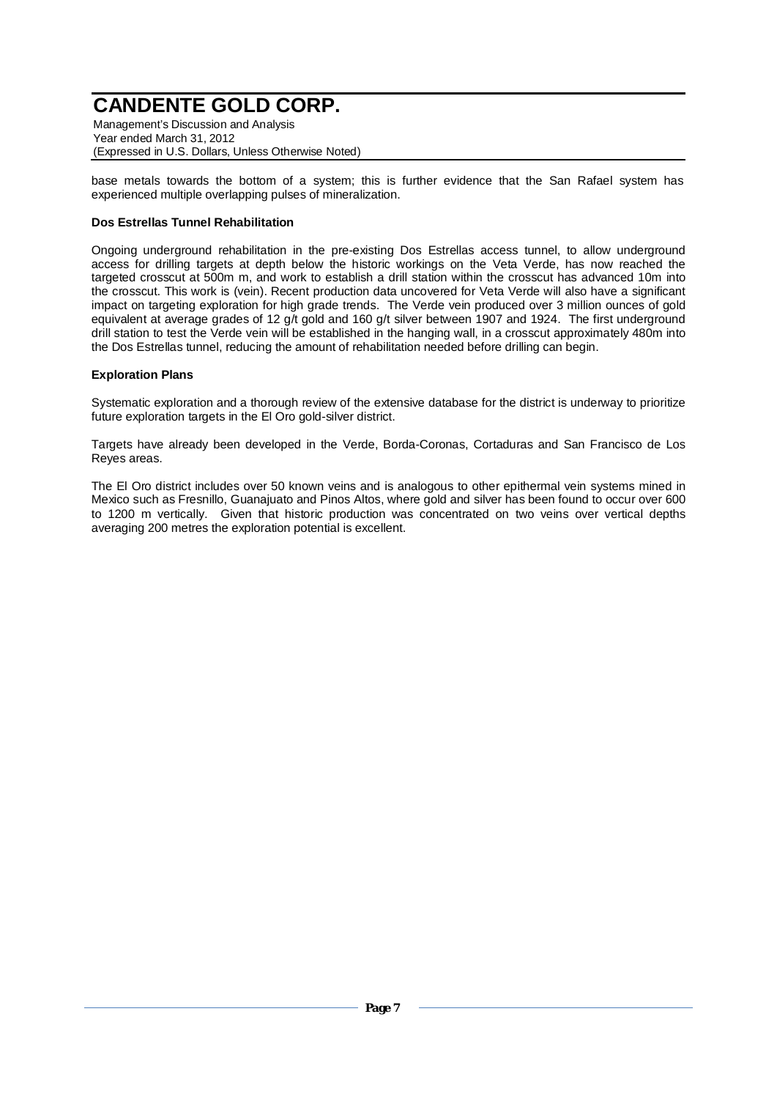Management's Discussion and Analysis Year ended March 31, 2012 (Expressed in U.S. Dollars, Unless Otherwise Noted)

base metals towards the bottom of a system; this is further evidence that the San Rafael system has experienced multiple overlapping pulses of mineralization.

### **Dos Estrellas Tunnel Rehabilitation**

Ongoing underground rehabilitation in the pre-existing Dos Estrellas access tunnel, to allow underground access for drilling targets at depth below the historic workings on the Veta Verde, has now reached the targeted crosscut at 500m m, and work to establish a drill station within the crosscut has advanced 10m into the crosscut. This work is (vein). Recent production data uncovered for Veta Verde will also have a significant impact on targeting exploration for high grade trends. The Verde vein produced over 3 million ounces of gold equivalent at average grades of 12 g/t gold and 160 g/t silver between 1907 and 1924. The first underground drill station to test the Verde vein will be established in the hanging wall, in a crosscut approximately 480m into the Dos Estrellas tunnel, reducing the amount of rehabilitation needed before drilling can begin.

## **Exploration Plans**

Systematic exploration and a thorough review of the extensive database for the district is underway to prioritize future exploration targets in the El Oro gold-silver district.

Targets have already been developed in the Verde, Borda-Coronas, Cortaduras and San Francisco de Los Reyes areas.

The El Oro district includes over 50 known veins and is analogous to other epithermal vein systems mined in Mexico such as Fresnillo, Guanajuato and Pinos Altos, where gold and silver has been found to occur over 600 to 1200 m vertically. Given that historic production was concentrated on two veins over vertical depths averaging 200 metres the exploration potential is excellent.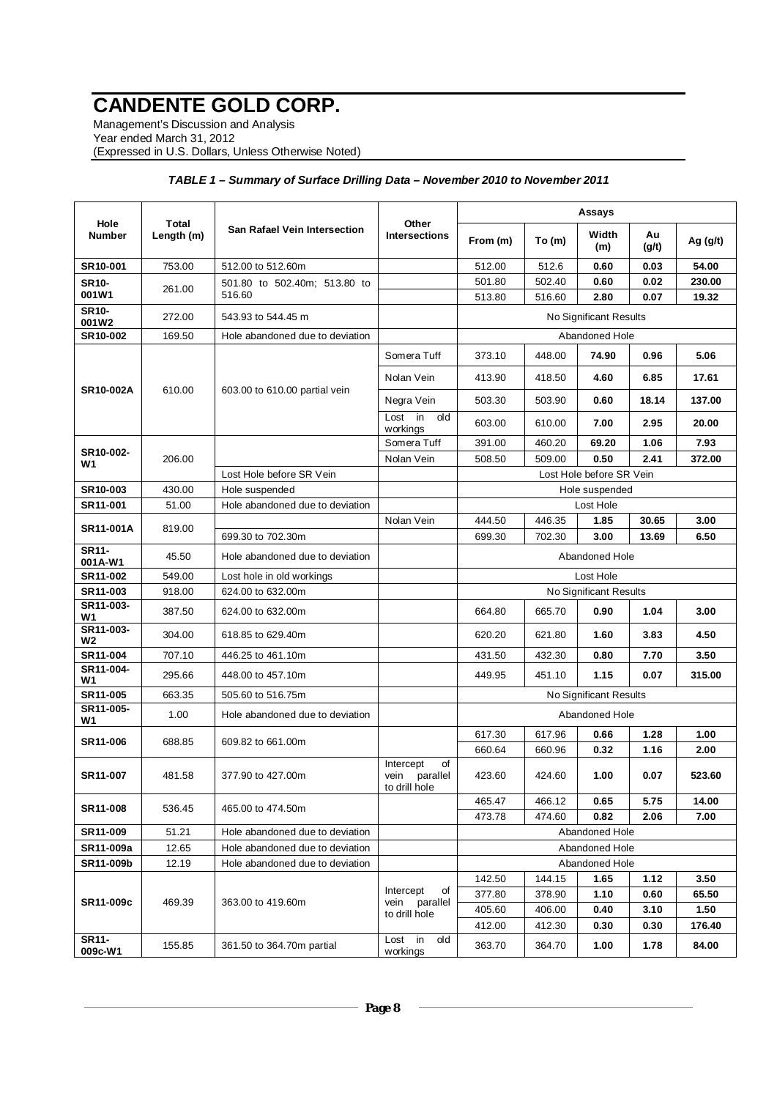Management's Discussion and Analysis Year ended March 31, 2012 (Expressed in U.S. Dollars, Unless Otherwise Noted)

|                        |                     |                                     |                                                   |                        |                  | Assays                   |                |               |
|------------------------|---------------------|-------------------------------------|---------------------------------------------------|------------------------|------------------|--------------------------|----------------|---------------|
| Hole<br><b>Number</b>  | Total<br>Length (m) | <b>San Rafael Vein Intersection</b> | Other<br><b>Intersections</b>                     | From (m)               | To(m)            | Width<br>(m)             | Au<br>(g/t)    | Ag $(g/t)$    |
| SR10-001               | 753.00              | 512.00 to 512.60m                   |                                                   | 512.00                 | 512.6            | 0.60                     | 0.03           | 54.00         |
| <b>SR10-</b>           | 261.00              | 501.80 to 502.40m; 513.80 to        |                                                   | 501.80                 | 502.40           | 0.60                     | 0.02           | 230.00        |
| 001W1                  |                     | 516.60                              |                                                   | 513.80                 | 516.60           | 2.80                     | 0.07           | 19.32         |
| <b>SR10-</b><br>001W2  | 272.00              | 543.93 to 544.45 m                  |                                                   |                        |                  | No Significant Results   |                |               |
| SR10-002               | 169.50              | Hole abandoned due to deviation     |                                                   |                        |                  | Abandoned Hole           |                |               |
|                        |                     |                                     | Somera Tuff                                       | 373.10                 | 448.00           | 74.90                    | 0.96           | 5.06          |
| <b>SR10-002A</b>       | 610.00              | 603.00 to 610.00 partial vein       | Nolan Vein                                        | 413.90                 | 418.50           | 4.60                     | 6.85           | 17.61         |
|                        |                     |                                     | Negra Vein                                        | 503.30                 | 503.90           | 0.60                     | 18.14          | 137.00        |
|                        |                     |                                     | in<br>Lost<br>old<br>workings                     | 603.00                 | 610.00           | 7.00                     | 2.95           | 20.00         |
| SR10-002-              |                     |                                     | Somera Tuff                                       | 391.00                 | 460.20           | 69.20                    | 1.06           | 7.93          |
| W1                     | 206.00              |                                     | Nolan Vein                                        | 508.50                 | 509.00           | 0.50                     | 2.41           | 372.00        |
|                        |                     | Lost Hole before SR Vein            |                                                   |                        |                  | Lost Hole before SR Vein |                |               |
| SR10-003               | 430.00              | Hole suspended                      |                                                   |                        |                  | Hole suspended           |                |               |
| SR11-001               | 51.00               | Hole abandoned due to deviation     |                                                   |                        |                  | Lost Hole                |                |               |
| <b>SR11-001A</b>       | 819.00              | 699.30 to 702.30m                   | Nolan Vein                                        | 444.50<br>699.30       | 446.35<br>702.30 | 1.85<br>3.00             | 30.65<br>13.69 | 3.00<br>6.50  |
| SR11-<br>001A-W1       | 45.50               | Hole abandoned due to deviation     |                                                   | Abandoned Hole         |                  |                          |                |               |
| SR11-002               | 549.00              | Lost hole in old workings           |                                                   | Lost Hole              |                  |                          |                |               |
| SR11-003               | 918.00              | 624.00 to 632.00m                   |                                                   | No Significant Results |                  |                          |                |               |
| SR11-003-<br>W1        | 387.50              | 624.00 to 632.00m                   |                                                   | 664.80                 | 665.70           | 0.90                     | 1.04           | 3.00          |
| SR11-003-<br>W2        | 304.00              | 618.85 to 629.40m                   |                                                   | 620.20                 | 621.80           | 1.60                     | 3.83           | 4.50          |
| SR11-004               | 707.10              | 446.25 to 461.10m                   |                                                   | 431.50                 | 432.30           | 0.80                     | 7.70           | 3.50          |
| SR11-004-<br>W1        | 295.66              | 448.00 to 457.10m                   |                                                   | 449.95                 | 451.10           | 1.15                     | 0.07           | 315.00        |
| SR11-005               | 663.35              | 505.60 to 516.75m                   |                                                   |                        |                  | No Significant Results   |                |               |
| SR11-005-<br><b>W1</b> | 1.00                | Hole abandoned due to deviation     |                                                   |                        |                  | Abandoned Hole           |                |               |
| SR11-006               | 688.85              | 609.82 to 661.00m                   |                                                   | 617.30                 | 617.96           | 0.66                     | 1.28           | 1.00          |
|                        |                     |                                     |                                                   | 660.64                 | 660.96           | 0.32                     | 1.16           | 2.00          |
| SR11-007               | 481.58              | 377.90 to 427.00m                   | of<br>Intercept<br>vein parallel<br>to drill hole | 423.60                 | 424.60           | 1.00                     | 0.07           | 523.60        |
| SR11-008               | 536.45              | 465.00 to 474.50m                   |                                                   | 465.47<br>473.78       | 466.12<br>474.60 | 0.65<br>0.82             | 5.75<br>2.06   | 14.00<br>7.00 |
| SR11-009               | 51.21               | Hole abandoned due to deviation     |                                                   |                        |                  | Abandoned Hole           |                |               |
| SR11-009a              | 12.65               | Hole abandoned due to deviation     |                                                   |                        |                  | Abandoned Hole           |                |               |
| SR11-009b              | 12.19               | Hole abandoned due to deviation     |                                                   |                        |                  | Abandoned Hole           |                |               |
|                        |                     |                                     |                                                   | 142.50                 | 144.15           | 1.65                     | 1.12           | 3.50          |
|                        |                     |                                     | Intercept<br>of                                   | 377.80                 | 378.90           | 1.10                     | 0.60           | 65.50         |
| SR11-009c              | 469.39              | 363.00 to 419.60m                   | parallel<br>vein<br>to drill hole                 | 405.60                 | 406.00           | 0.40                     | 3.10           | 1.50          |
|                        |                     |                                     |                                                   | 412.00                 | 412.30           | 0.30                     | 0.30           | 176.40        |
| SR11-<br>009c-W1       | 155.85              | 361.50 to 364.70m partial           | Lost in<br>old<br>workings                        | 363.70                 | 364.70           | 1.00                     | 1.78           | 84.00         |

### *TABLE 1 – Summary of Surface Drilling Data – November 2010 to November 2011*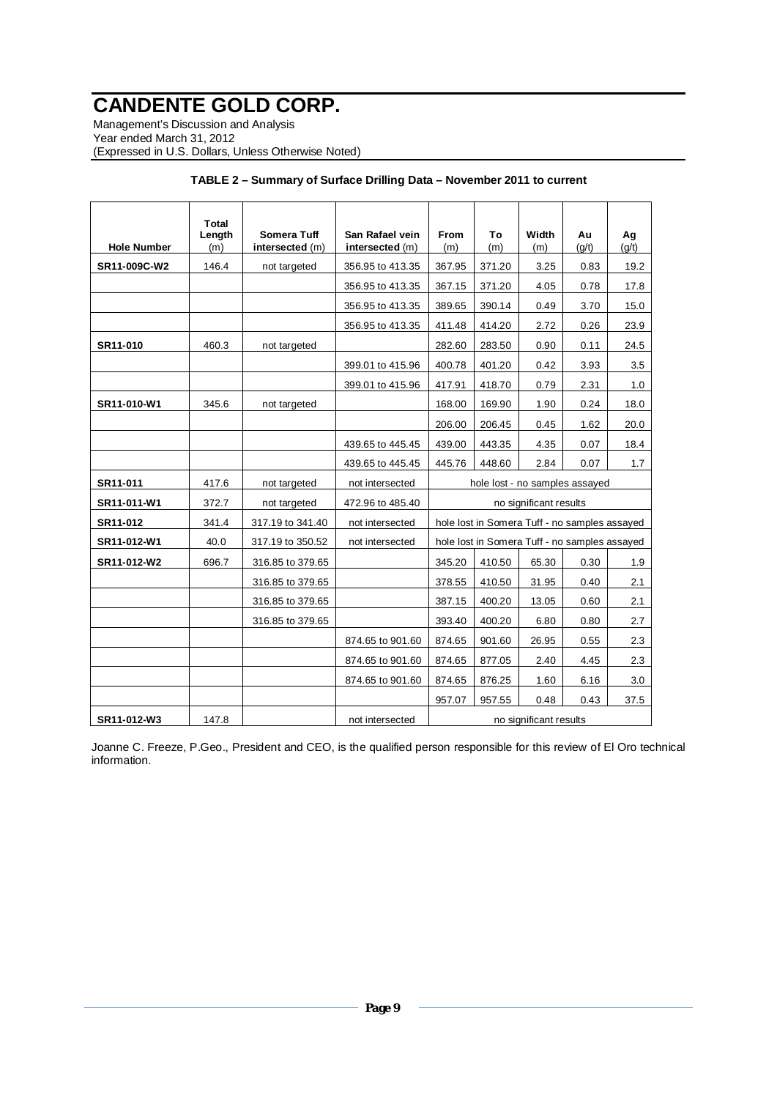Management's Discussion and Analysis Year ended March 31, 2012 (Expressed in U.S. Dollars, Unless Otherwise Noted)

| <b>Hole Number</b> | Total<br>Length<br>(m) | <b>Somera Tuff</b><br>intersected (m) | San Rafael vein<br>intersected (m) | <b>From</b><br>(m) | To<br>(m) | Width<br>(m)                                  | Au<br>(q/t) | Ag<br>(q/t) |
|--------------------|------------------------|---------------------------------------|------------------------------------|--------------------|-----------|-----------------------------------------------|-------------|-------------|
| SR11-009C-W2       | 146.4                  | not targeted                          | 356.95 to 413.35                   | 367.95             | 371.20    | 3.25                                          | 0.83        | 19.2        |
|                    |                        |                                       | 356.95 to 413.35                   | 367.15             | 371.20    | 4.05                                          | 0.78        | 17.8        |
|                    |                        |                                       | 356.95 to 413.35                   | 389.65             | 390.14    | 0.49                                          | 3.70        | 15.0        |
|                    |                        |                                       | 356.95 to 413.35                   | 411.48             | 414.20    | 2.72                                          | 0.26        | 23.9        |
| SR11-010           | 460.3                  | not targeted                          |                                    | 282.60             | 283.50    | 0.90                                          | 0.11        | 24.5        |
|                    |                        |                                       | 399.01 to 415.96                   | 400.78             | 401.20    | 0.42                                          | 3.93        | 3.5         |
|                    |                        |                                       | 399.01 to 415.96                   | 417.91             | 418.70    | 0.79                                          | 2.31        | 1.0         |
| SR11-010-W1        | 345.6                  | not targeted                          |                                    | 168.00             | 169.90    | 1.90                                          | 0.24        | 18.0        |
|                    |                        |                                       |                                    | 206.00             | 206.45    | 0.45                                          | 1.62        | 20.0        |
|                    |                        |                                       | 439.65 to 445.45                   | 439.00             | 443.35    | 4.35                                          | 0.07        | 18.4        |
|                    |                        |                                       | 439.65 to 445.45                   | 445.76             | 448.60    | 2.84                                          | 0.07        | 1.7         |
| SR11-011           | 417.6                  | not targeted                          | not intersected                    |                    |           | hole lost - no samples assayed                |             |             |
| SR11-011-W1        | 372.7                  | not targeted                          | 472.96 to 485.40                   |                    |           | no significant results                        |             |             |
| SR11-012           | 341.4                  | 317.19 to 341.40                      | not intersected                    |                    |           | hole lost in Somera Tuff - no samples assayed |             |             |
| SR11-012-W1        | 40.0                   | 317.19 to 350.52                      | not intersected                    |                    |           | hole lost in Somera Tuff - no samples assayed |             |             |
| SR11-012-W2        | 696.7                  | 316.85 to 379.65                      |                                    | 345.20             | 410.50    | 65.30                                         | 0.30        | 1.9         |
|                    |                        | 316.85 to 379.65                      |                                    | 378.55             | 410.50    | 31.95                                         | 0.40        | 2.1         |
|                    |                        | 316.85 to 379.65                      |                                    | 387.15             | 400.20    | 13.05                                         | 0.60        | 2.1         |
|                    |                        | 316.85 to 379.65                      |                                    | 393.40             | 400.20    | 6.80                                          | 0.80        | 2.7         |
|                    |                        |                                       | 874.65 to 901.60                   | 874.65             | 901.60    | 26.95                                         | 0.55        | 2.3         |
|                    |                        |                                       | 874.65 to 901.60                   | 874.65             | 877.05    | 2.40                                          | 4.45        | 2.3         |
|                    |                        |                                       | 874.65 to 901.60                   | 874.65             | 876.25    | 1.60                                          | 6.16        | 3.0         |
|                    |                        |                                       |                                    | 957.07             | 957.55    | 0.48                                          | 0.43        | 37.5        |
| SR11-012-W3        | 147.8                  |                                       | not intersected                    |                    |           | no significant results                        |             |             |

| TABLE 2 - Summary of Surface Drilling Data - November 2011 to current |  |
|-----------------------------------------------------------------------|--|
|-----------------------------------------------------------------------|--|

Joanne C. Freeze, P.Geo., President and CEO, is the qualified person responsible for this review of El Oro technical information.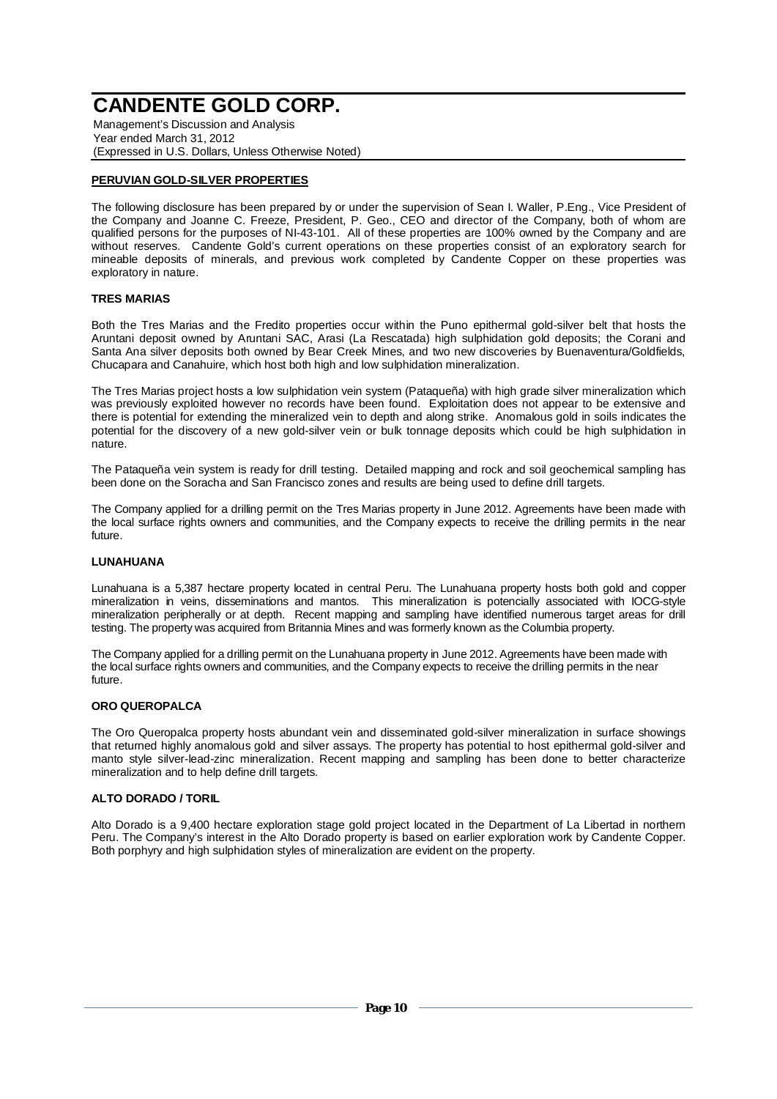Management's Discussion and Analysis Year ended March 31, 2012 (Expressed in U.S. Dollars, Unless Otherwise Noted)

### **PERUVIAN GOLD-SILVER PROPERTIES**

The following disclosure has been prepared by or under the supervision of Sean I. Waller, P.Eng., Vice President of the Company and Joanne C. Freeze, President, P. Geo., CEO and director of the Company, both of whom are qualified persons for the purposes of NI-43-101. All of these properties are 100% owned by the Company and are without reserves. Candente Gold's current operations on these properties consist of an exploratory search for mineable deposits of minerals, and previous work completed by Candente Copper on these properties was exploratory in nature.

#### **TRES MARIAS**

Both the Tres Marias and the Fredito properties occur within the Puno epithermal gold-silver belt that hosts the Aruntani deposit owned by Aruntani SAC, Arasi (La Rescatada) high sulphidation gold deposits; the Corani and Santa Ana silver deposits both owned by Bear Creek Mines, and two new discoveries by Buenaventura/Goldfields, Chucapara and Canahuire, which host both high and low sulphidation mineralization.

The Tres Marias project hosts a low sulphidation vein system (Pataqueña) with high grade silver mineralization which was previously exploited however no records have been found. Exploitation does not appear to be extensive and there is potential for extending the mineralized vein to depth and along strike. Anomalous gold in soils indicates the potential for the discovery of a new gold-silver vein or bulk tonnage deposits which could be high sulphidation in nature.

The Pataqueña vein system is ready for drill testing. Detailed mapping and rock and soil geochemical sampling has been done on the Soracha and San Francisco zones and results are being used to define drill targets.

The Company applied for a drilling permit on the Tres Marias property in June 2012. Agreements have been made with the local surface rights owners and communities, and the Company expects to receive the drilling permits in the near future.

#### **LUNAHUANA**

Lunahuana is a 5,387 hectare property located in central Peru. The Lunahuana property hosts both gold and copper mineralization in veins, disseminations and mantos. This mineralization is potencially associated with IOCG-style mineralization peripherally or at depth. Recent mapping and sampling have identified numerous target areas for drill testing. The property was acquired from Britannia Mines and was formerly known as the Columbia property.

The Company applied for a drilling permit on the Lunahuana property in June 2012. Agreements have been made with the local surface rights owners and communities, and the Company expects to receive the drilling permits in the near future.

#### **ORO QUEROPALCA**

The Oro Queropalca property hosts abundant vein and disseminated gold-silver mineralization in surface showings that returned highly anomalous gold and silver assays. The property has potential to host epithermal gold-silver and manto style silver-lead-zinc mineralization. Recent mapping and sampling has been done to better characterize mineralization and to help define drill targets.

#### **ALTO DORADO / TORIL**

Alto Dorado is a 9,400 hectare exploration stage gold project located in the Department of La Libertad in northern Peru. The Company's interest in the Alto Dorado property is based on earlier exploration work by Candente Copper. Both porphyry and high sulphidation styles of mineralization are evident on the property.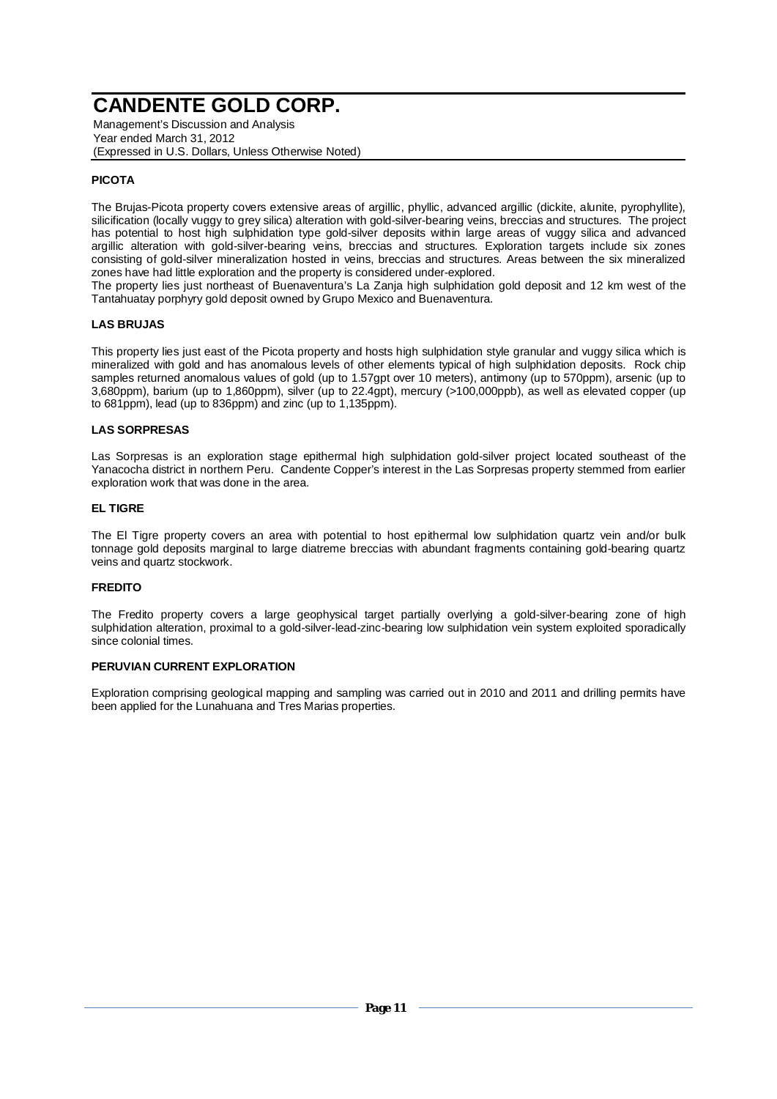Management's Discussion and Analysis Year ended March 31, 2012 (Expressed in U.S. Dollars, Unless Otherwise Noted)

## **PICOTA**

The Brujas-Picota property covers extensive areas of argillic, phyllic, advanced argillic (dickite, alunite, pyrophyllite), silicification (locally vuggy to grey silica) alteration with gold-silver-bearing veins, breccias and structures. The project has potential to host high sulphidation type gold-silver deposits within large areas of vuggy silica and advanced argillic alteration with gold-silver-bearing veins, breccias and structures. Exploration targets include six zones consisting of gold-silver mineralization hosted in veins, breccias and structures. Areas between the six mineralized zones have had little exploration and the property is considered under-explored.

The property lies just northeast of Buenaventura's La Zanja high sulphidation gold deposit and 12 km west of the Tantahuatay porphyry gold deposit owned by Grupo Mexico and Buenaventura.

#### **LAS BRUJAS**

This property lies just east of the Picota property and hosts high sulphidation style granular and vuggy silica which is mineralized with gold and has anomalous levels of other elements typical of high sulphidation deposits. Rock chip samples returned anomalous values of gold (up to 1.57gpt over 10 meters), antimony (up to 570ppm), arsenic (up to 3,680ppm), barium (up to 1,860ppm), silver (up to 22.4gpt), mercury (>100,000ppb), as well as elevated copper (up to 681ppm), lead (up to 836ppm) and zinc (up to 1,135ppm).

#### **LAS SORPRESAS**

Las Sorpresas is an exploration stage epithermal high sulphidation gold-silver project located southeast of the Yanacocha district in northern Peru. Candente Copper's interest in the Las Sorpresas property stemmed from earlier exploration work that was done in the area.

#### **EL TIGRE**

The El Tigre property covers an area with potential to host epithermal low sulphidation quartz vein and/or bulk tonnage gold deposits marginal to large diatreme breccias with abundant fragments containing gold-bearing quartz veins and quartz stockwork.

#### **FREDITO**

The Fredito property covers a large geophysical target partially overlying a gold-silver-bearing zone of high sulphidation alteration, proximal to a gold-silver-lead-zinc-bearing low sulphidation vein system exploited sporadically since colonial times.

#### **PERUVIAN CURRENT EXPLORATION**

Exploration comprising geological mapping and sampling was carried out in 2010 and 2011 and drilling permits have been applied for the Lunahuana and Tres Marias properties.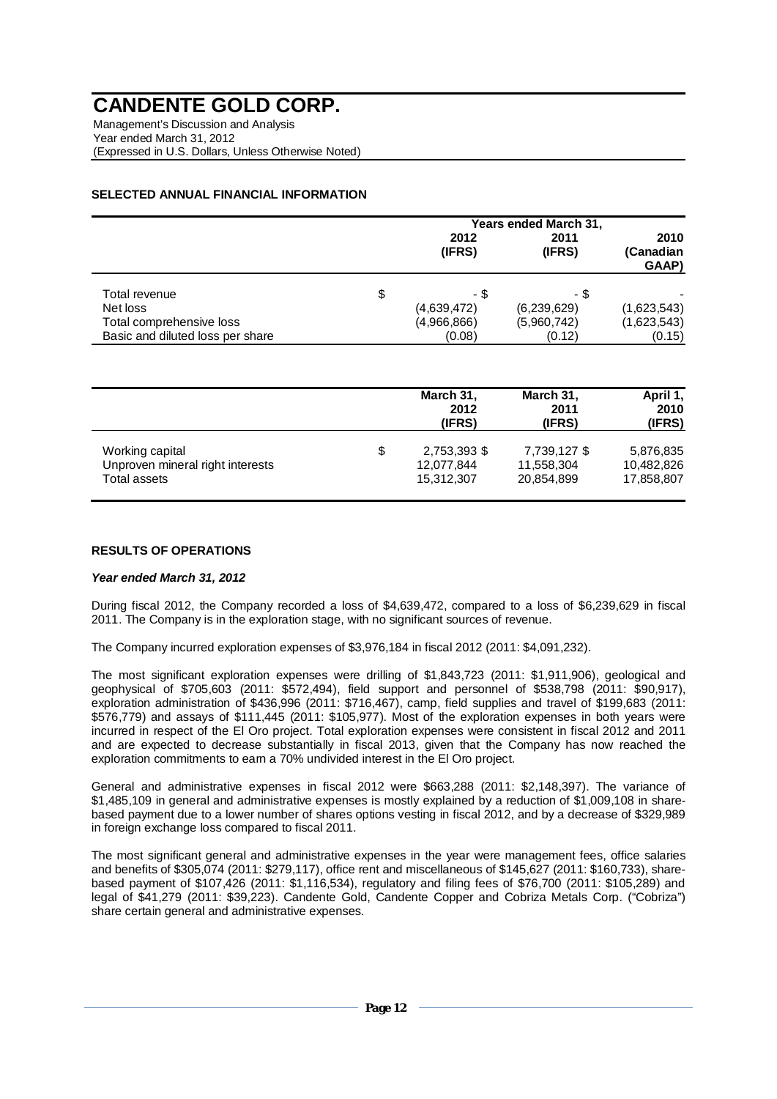Management's Discussion and Analysis Year ended March 31, 2012 (Expressed in U.S. Dollars, Unless Otherwise Noted)

## **SELECTED ANNUAL FINANCIAL INFORMATION**

|                                  | Years ended March 31, |                |                            |
|----------------------------------|-----------------------|----------------|----------------------------|
|                                  | 2012<br>(IFRS)        | 2011<br>(IFRS) | 2010<br>(Canadian<br>GAAP) |
| Total revenue                    | \$<br>- \$            | - \$           |                            |
| Net loss                         | (4,639,472)           | (6,239,629)    | (1,623,543)                |
| Total comprehensive loss         | (4,966,866)           | (5,960,742)    | (1,623,543)                |
| Basic and diluted loss per share | (0.08)                | (0.12)         | (0.15)                     |

|                                                     | March 31,<br>2012<br>(IFRS)      | March 31,<br>2011<br>(IFRS) | April 1,<br>2010<br>(IFRS) |
|-----------------------------------------------------|----------------------------------|-----------------------------|----------------------------|
| Working capital<br>Unproven mineral right interests | \$<br>2,753,393 \$<br>12,077,844 | 7,739,127 \$<br>11,558,304  | 5,876,835<br>10,482,826    |
| Total assets                                        | 15,312,307                       | 20,854,899                  | 17,858,807                 |

### **RESULTS OF OPERATIONS**

#### *Year ended March 31, 2012*

During fiscal 2012, the Company recorded a loss of \$4,639,472, compared to a loss of \$6,239,629 in fiscal 2011. The Company is in the exploration stage, with no significant sources of revenue.

The Company incurred exploration expenses of \$3,976,184 in fiscal 2012 (2011: \$4,091,232).

The most significant exploration expenses were drilling of \$1,843,723 (2011: \$1,911,906), geological and geophysical of \$705,603 (2011: \$572,494), field support and personnel of \$538,798 (2011: \$90,917), exploration administration of \$436,996 (2011: \$716,467), camp, field supplies and travel of \$199,683 (2011: \$576,779) and assays of \$111,445 (2011: \$105,977). Most of the exploration expenses in both years were incurred in respect of the El Oro project. Total exploration expenses were consistent in fiscal 2012 and 2011 and are expected to decrease substantially in fiscal 2013, given that the Company has now reached the exploration commitments to earn a 70% undivided interest in the El Oro project.

General and administrative expenses in fiscal 2012 were \$663,288 (2011: \$2,148,397). The variance of \$1,485,109 in general and administrative expenses is mostly explained by a reduction of \$1,009,108 in sharebased payment due to a lower number of shares options vesting in fiscal 2012, and by a decrease of \$329,989 in foreign exchange loss compared to fiscal 2011.

The most significant general and administrative expenses in the year were management fees, office salaries and benefits of \$305,074 (2011: \$279,117), office rent and miscellaneous of \$145,627 (2011: \$160,733), sharebased payment of \$107,426 (2011: \$1,116,534), regulatory and filing fees of \$76,700 (2011: \$105,289) and legal of \$41,279 (2011: \$39,223). Candente Gold, Candente Copper and Cobriza Metals Corp. ("Cobriza") share certain general and administrative expenses.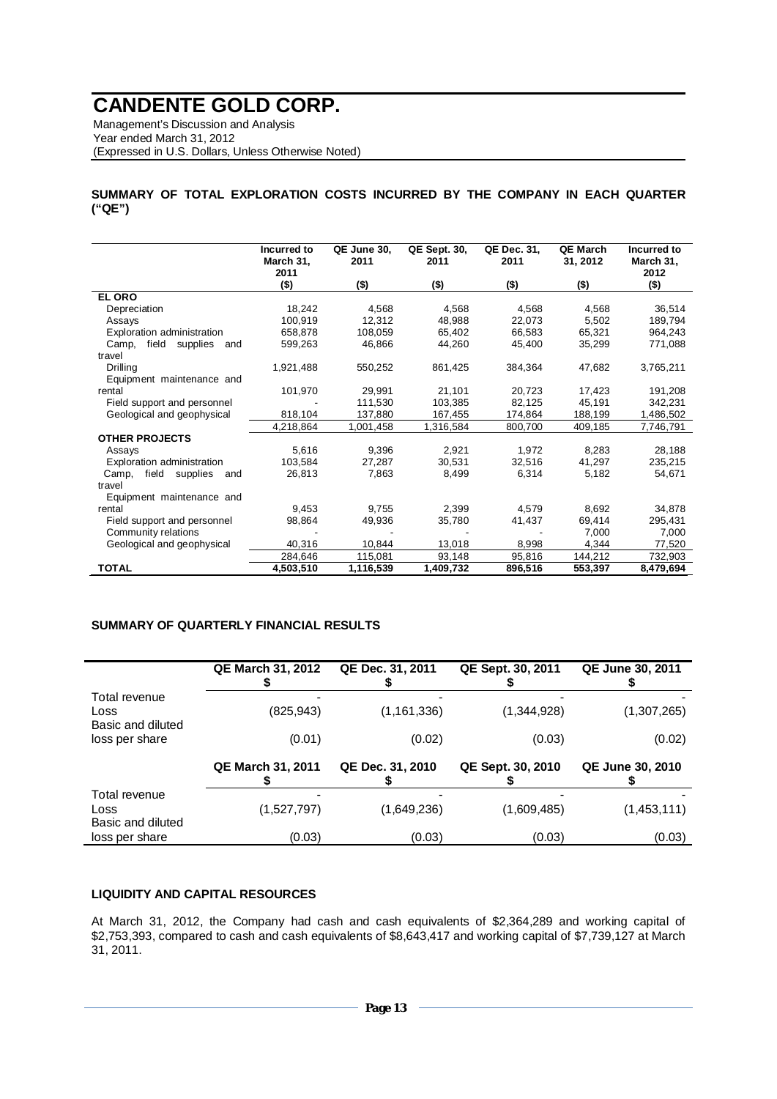Management's Discussion and Analysis Year ended March 31, 2012 (Expressed in U.S. Dollars, Unless Otherwise Noted)

**SUMMARY OF TOTAL EXPLORATION COSTS INCURRED BY THE COMPANY IN EACH QUARTER ("QE")** 

|                                   | Incurred to<br>March 31,<br>2011 | QE June 30,<br>2011 | <b>QE Sept. 30,</b><br>2011 | QE Dec. 31,<br>2011 | QE March<br>31, 2012 | Incurred to<br>March 31,<br>2012 |
|-----------------------------------|----------------------------------|---------------------|-----------------------------|---------------------|----------------------|----------------------------------|
|                                   | $($ \$)                          | $($ \$)             | $($ \$)                     | $($ \$)             | $($ \$)              | $($ \$)                          |
| <b>EL ORO</b>                     |                                  |                     |                             |                     |                      |                                  |
| Depreciation                      | 18,242                           | 4,568               | 4.568                       | 4.568               | 4,568                | 36,514                           |
| Assays                            | 100,919                          | 12,312              | 48,988                      | 22,073              | 5,502                | 189,794                          |
| Exploration administration        | 658,878                          | 108,059             | 65,402                      | 66,583              | 65,321               | 964,243                          |
| field<br>supplies<br>Camp,<br>and | 599,263                          | 46,866              | 44,260                      | 45,400              | 35,299               | 771,088                          |
| travel                            |                                  |                     |                             |                     |                      |                                  |
| Drilling                          | 1,921,488                        | 550,252             | 861,425                     | 384,364             | 47,682               | 3,765,211                        |
| Equipment maintenance and         |                                  |                     |                             |                     |                      |                                  |
| rental                            | 101,970                          | 29,991              | 21,101                      | 20,723              | 17,423               | 191,208                          |
| Field support and personnel       |                                  | 111,530             | 103,385                     | 82,125              | 45,191               | 342,231                          |
| Geological and geophysical        | 818,104                          | 137,880             | 167,455                     | 174,864             | 188,199              | 1,486,502                        |
|                                   | 4,218,864                        | 1,001,458           | 1,316,584                   | 800,700             | 409,185              | 7,746,791                        |
| <b>OTHER PROJECTS</b>             |                                  |                     |                             |                     |                      |                                  |
| Assays                            | 5,616                            | 9,396               | 2,921                       | 1,972               | 8,283                | 28,188                           |
| Exploration administration        | 103,584                          | 27,287              | 30,531                      | 32,516              | 41,297               | 235,215                          |
| field supplies<br>Camp.<br>and    | 26,813                           | 7,863               | 8.499                       | 6,314               | 5,182                | 54.671                           |
| travel                            |                                  |                     |                             |                     |                      |                                  |
| Equipment maintenance and         |                                  |                     |                             |                     |                      |                                  |
| rental                            | 9,453                            | 9,755               | 2,399                       | 4,579               | 8,692                | 34,878                           |
| Field support and personnel       | 98.864                           | 49,936              | 35,780                      | 41,437              | 69,414               | 295,431                          |
| Community relations               |                                  |                     |                             |                     | 7,000                | 7,000                            |
| Geological and geophysical        | 40,316                           | 10,844              | 13,018                      | 8,998               | 4,344                | 77,520                           |
|                                   | 284,646                          | 115,081             | 93,148                      | 95,816              | 144,212              | 732,903                          |
| <b>TOTAL</b>                      | 4,503,510                        | 1,116,539           | 1,409,732                   | 896,516             | 553,397              | 8,479,694                        |

### **SUMMARY OF QUARTERLY FINANCIAL RESULTS**

|                                            | <b>QE March 31, 2012</b> | QE Dec. 31, 2011 | QE Sept. 30, 2011 | QE June 30, 2011        |
|--------------------------------------------|--------------------------|------------------|-------------------|-------------------------|
| Total revenue<br>Loss<br>Basic and diluted | (825, 943)               | (1, 161, 336)    | (1,344,928)       | (1,307,265)             |
| loss per share                             | (0.01)                   | (0.02)           | (0.03)            | (0.02)                  |
|                                            | <b>QE March 31, 2011</b> | QE Dec. 31, 2010 | QE Sept. 30, 2010 | <b>QE June 30, 2010</b> |
| Total revenue<br>Loss<br>Basic and diluted | (1,527,797)              | (1,649,236)      | (1,609,485)       | (1,453,111)             |
| loss per share                             | (0.03)                   | (0.03)           | (0.03)            | (0.03)                  |

## **LIQUIDITY AND CAPITAL RESOURCES**

At March 31, 2012, the Company had cash and cash equivalents of \$2,364,289 and working capital of \$2,753,393, compared to cash and cash equivalents of \$8,643,417 and working capital of \$7,739,127 at March 31, 2011.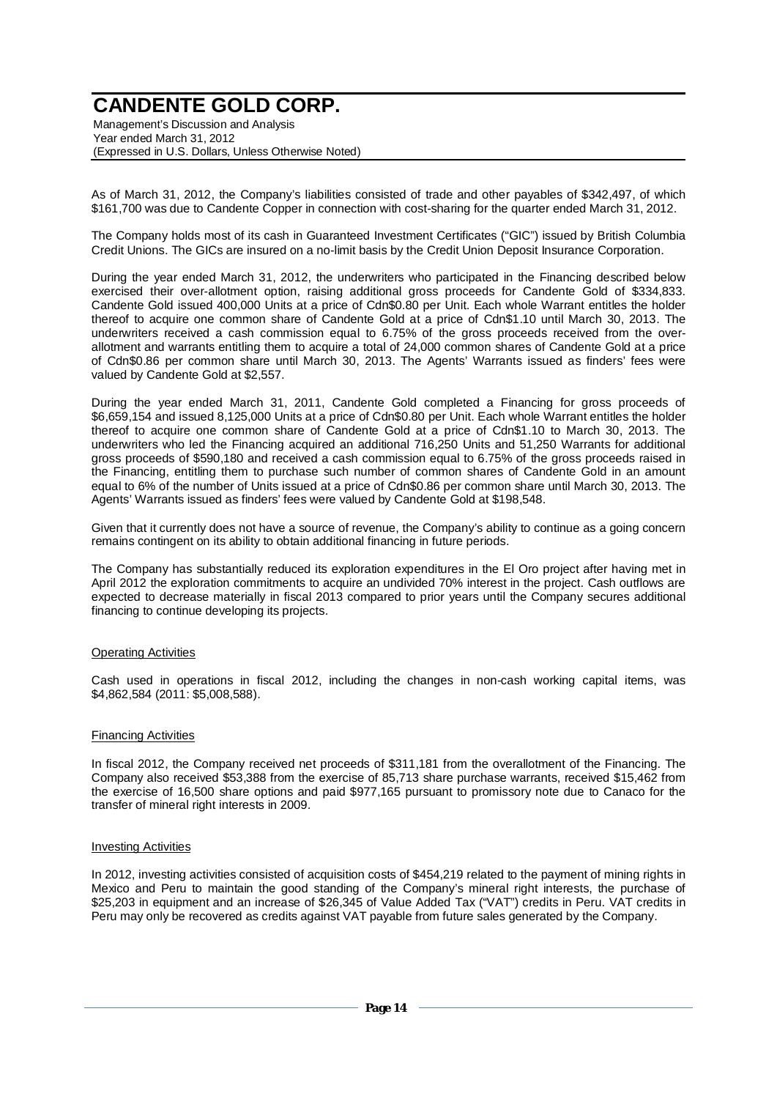Management's Discussion and Analysis Year ended March 31, 2012 (Expressed in U.S. Dollars, Unless Otherwise Noted)

As of March 31, 2012, the Company's liabilities consisted of trade and other payables of \$342,497, of which \$161,700 was due to Candente Copper in connection with cost-sharing for the quarter ended March 31, 2012.

The Company holds most of its cash in Guaranteed Investment Certificates ("GIC") issued by British Columbia Credit Unions. The GICs are insured on a no-limit basis by the Credit Union Deposit Insurance Corporation.

During the year ended March 31, 2012, the underwriters who participated in the Financing described below exercised their over-allotment option, raising additional gross proceeds for Candente Gold of \$334,833. Candente Gold issued 400,000 Units at a price of Cdn\$0.80 per Unit. Each whole Warrant entitles the holder thereof to acquire one common share of Candente Gold at a price of Cdn\$1.10 until March 30, 2013. The underwriters received a cash commission equal to 6.75% of the gross proceeds received from the overallotment and warrants entitling them to acquire a total of 24,000 common shares of Candente Gold at a price of Cdn\$0.86 per common share until March 30, 2013. The Agents' Warrants issued as finders' fees were valued by Candente Gold at \$2,557.

During the year ended March 31, 2011, Candente Gold completed a Financing for gross proceeds of \$6,659,154 and issued 8,125,000 Units at a price of Cdn\$0.80 per Unit. Each whole Warrant entitles the holder thereof to acquire one common share of Candente Gold at a price of Cdn\$1.10 to March 30, 2013. The underwriters who led the Financing acquired an additional 716,250 Units and 51,250 Warrants for additional gross proceeds of \$590,180 and received a cash commission equal to 6.75% of the gross proceeds raised in the Financing, entitling them to purchase such number of common shares of Candente Gold in an amount equal to 6% of the number of Units issued at a price of Cdn\$0.86 per common share until March 30, 2013. The Agents' Warrants issued as finders' fees were valued by Candente Gold at \$198,548.

Given that it currently does not have a source of revenue, the Company's ability to continue as a going concern remains contingent on its ability to obtain additional financing in future periods.

The Company has substantially reduced its exploration expenditures in the El Oro project after having met in April 2012 the exploration commitments to acquire an undivided 70% interest in the project. Cash outflows are expected to decrease materially in fiscal 2013 compared to prior years until the Company secures additional financing to continue developing its projects.

### Operating Activities

Cash used in operations in fiscal 2012, including the changes in non-cash working capital items, was \$4,862,584 (2011: \$5,008,588).

#### Financing Activities

In fiscal 2012, the Company received net proceeds of \$311,181 from the overallotment of the Financing. The Company also received \$53,388 from the exercise of 85,713 share purchase warrants, received \$15,462 from the exercise of 16,500 share options and paid \$977,165 pursuant to promissory note due to Canaco for the transfer of mineral right interests in 2009.

#### **Investing Activities**

In 2012, investing activities consisted of acquisition costs of \$454,219 related to the payment of mining rights in Mexico and Peru to maintain the good standing of the Company's mineral right interests, the purchase of \$25,203 in equipment and an increase of \$26,345 of Value Added Tax ("VAT") credits in Peru. VAT credits in Peru may only be recovered as credits against VAT payable from future sales generated by the Company.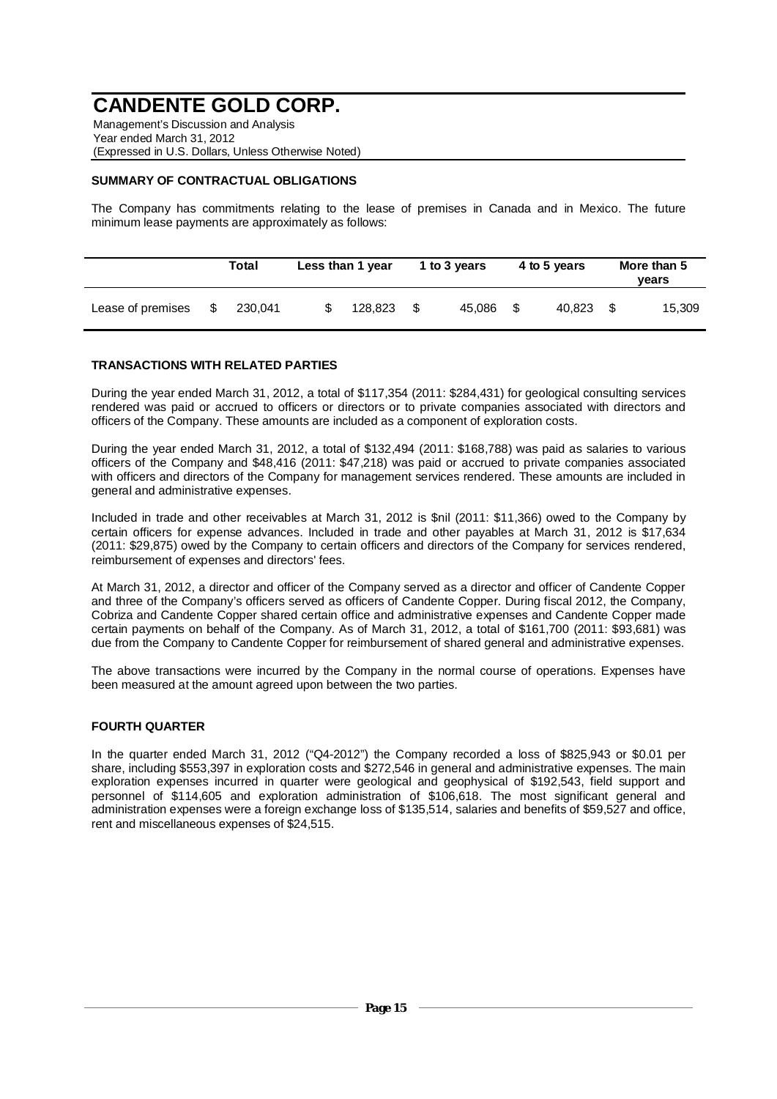Management's Discussion and Analysis Year ended March 31, 2012 (Expressed in U.S. Dollars, Unless Otherwise Noted)

## **SUMMARY OF CONTRACTUAL OBLIGATIONS**

The Company has commitments relating to the lease of premises in Canada and in Mexico. The future minimum lease payments are approximately as follows:

|                   |    | Total   | Less than 1 year |      | 1 to 3 years |      | 4 to 5 years | More than 5<br>vears |
|-------------------|----|---------|------------------|------|--------------|------|--------------|----------------------|
| Lease of premises | S. | 230.041 | 128.823          | - \$ | 45.086       | - \$ | 40.823 \$    | 15,309               |

### **TRANSACTIONS WITH RELATED PARTIES**

During the year ended March 31, 2012, a total of \$117,354 (2011: \$284,431) for geological consulting services rendered was paid or accrued to officers or directors or to private companies associated with directors and officers of the Company. These amounts are included as a component of exploration costs.

During the year ended March 31, 2012, a total of \$132,494 (2011: \$168,788) was paid as salaries to various officers of the Company and \$48,416 (2011: \$47,218) was paid or accrued to private companies associated with officers and directors of the Company for management services rendered. These amounts are included in general and administrative expenses.

Included in trade and other receivables at March 31, 2012 is \$nil (2011: \$11,366) owed to the Company by certain officers for expense advances. Included in trade and other payables at March 31, 2012 is \$17,634 (2011: \$29,875) owed by the Company to certain officers and directors of the Company for services rendered, reimbursement of expenses and directors' fees.

At March 31, 2012, a director and officer of the Company served as a director and officer of Candente Copper and three of the Company's officers served as officers of Candente Copper. During fiscal 2012, the Company, Cobriza and Candente Copper shared certain office and administrative expenses and Candente Copper made certain payments on behalf of the Company. As of March 31, 2012, a total of \$161,700 (2011: \$93,681) was due from the Company to Candente Copper for reimbursement of shared general and administrative expenses.

The above transactions were incurred by the Company in the normal course of operations. Expenses have been measured at the amount agreed upon between the two parties.

### **FOURTH QUARTER**

In the quarter ended March 31, 2012 ("Q4-2012") the Company recorded a loss of \$825,943 or \$0.01 per share, including \$553,397 in exploration costs and \$272,546 in general and administrative expenses. The main exploration expenses incurred in quarter were geological and geophysical of \$192,543, field support and personnel of \$114,605 and exploration administration of \$106,618. The most significant general and administration expenses were a foreign exchange loss of \$135,514, salaries and benefits of \$59,527 and office, rent and miscellaneous expenses of \$24,515.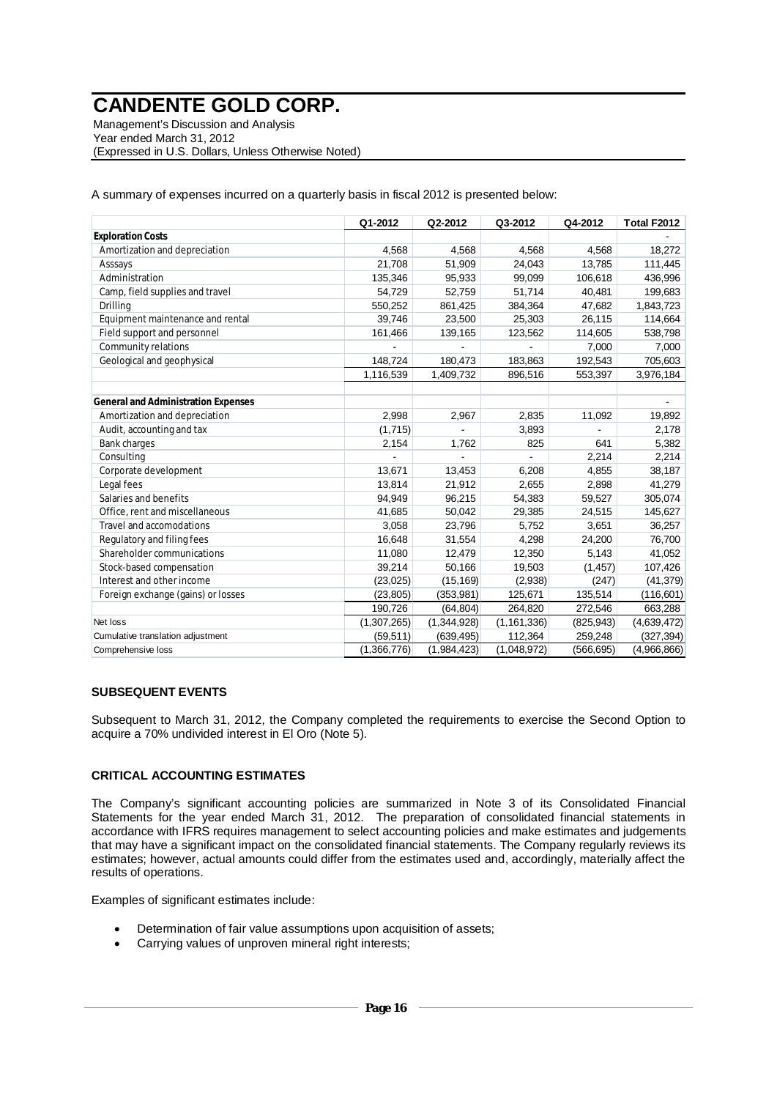Management's Discussion and Analysis Year ended March 31, 2012 (Expressed in U.S. Dollars, Unless Otherwise Noted)

A summary of expenses incurred on a quarterly basis in fiscal 2012 is presented below:

|                                            | Q1-2012     | Q2-2012     | Q3-2012       | Q4-2012    | Total F2012 |
|--------------------------------------------|-------------|-------------|---------------|------------|-------------|
| <b>Exploration Costs</b>                   |             |             |               |            |             |
| Amortization and depreciation              | 4,568       | 4,568       | 4,568         | 4,568      | 18,272      |
| Asssays                                    | 21,708      | 51,909      | 24,043        | 13,785     | 111,445     |
| Administration                             | 135,346     | 95,933      | 99,099        | 106,618    | 436,996     |
| Camp, field supplies and travel            | 54,729      | 52,759      | 51,714        | 40,481     | 199,683     |
| Drilling                                   | 550,252     | 861,425     | 384,364       | 47,682     | 1,843,723   |
| Equipment maintenance and rental           | 39,746      | 23,500      | 25,303        | 26,115     | 114,664     |
| Field support and personnel                | 161,466     | 139,165     | 123,562       | 114,605    | 538,798     |
| Community relations                        |             |             |               | 7,000      | 7,000       |
| Geological and geophysical                 | 148,724     | 180,473     | 183,863       | 192,543    | 705,603     |
|                                            | 1,116,539   | 1,409,732   | 896,516       | 553,397    | 3,976,184   |
|                                            |             |             |               |            |             |
| <b>General and Administration Expenses</b> |             |             |               |            |             |
| Amortization and depreciation              | 2.998       | 2,967       | 2,835         | 11,092     | 19,892      |
| Audit, accounting and tax                  | (1,715)     |             | 3,893         |            | 2,178       |
| <b>Bank charges</b>                        | 2,154       | 1,762       | 825           | 641        | 5,382       |
| Consulting                                 |             |             |               | 2,214      | 2,214       |
| Corporate development                      | 13,671      | 13,453      | 6,208         | 4,855      | 38,187      |
| Legal fees                                 | 13,814      | 21,912      | 2,655         | 2,898      | 41,279      |
| Salaries and benefits                      | 94,949      | 96,215      | 54,383        | 59,527     | 305,074     |
| Office, rent and miscellaneous             | 41,685      | 50,042      | 29,385        | 24,515     | 145,627     |
| Travel and accomodations                   | 3,058       | 23,796      | 5,752         | 3,651      | 36,257      |
| Regulatory and filing fees                 | 16,648      | 31,554      | 4,298         | 24,200     | 76,700      |
| Shareholder communications                 | 11,080      | 12,479      | 12,350        | 5,143      | 41,052      |
| Stock-based compensation                   | 39,214      | 50,166      | 19,503        | (1, 457)   | 107,426     |
| Interest and other income                  | (23, 025)   | (15, 169)   | (2,938)       | (247)      | (41, 379)   |
| Foreign exchange (gains) or losses         | (23, 805)   | (353, 981)  | 125,671       | 135,514    | (116, 601)  |
|                                            | 190,726     | (64, 804)   | 264,820       | 272,546    | 663,288     |
| Net loss                                   | (1,307,265) | (1,344,928) | (1, 161, 336) | (825, 943) | (4,639,472) |
| Cumulative translation adjustment          | (59, 511)   | (639, 495)  | 112,364       | 259,248    | (327, 394)  |
| Comprehensive loss                         | (1,366,776) | (1,984,423) | (1,048,972)   | (566, 695) | (4,966,866) |

### **SUBSEQUENT EVENTS**

Subsequent to March 31, 2012, the Company completed the requirements to exercise the Second Option to acquire a 70% undivided interest in El Oro (Note 5).

#### **CRITICAL ACCOUNTING ESTIMATES**

The Company's significant accounting policies are summarized in Note 3 of its Consolidated Financial Statements for the year ended March 31, 2012. The preparation of consolidated financial statements in accordance with IFRS requires management to select accounting policies and make estimates and judgements that may have a significant impact on the consolidated financial statements. The Company regularly reviews its estimates; however, actual amounts could differ from the estimates used and, accordingly, materially affect the results of operations.

Examples of significant estimates include:

- Determination of fair value assumptions upon acquisition of assets;
- Carrying values of unproven mineral right interests;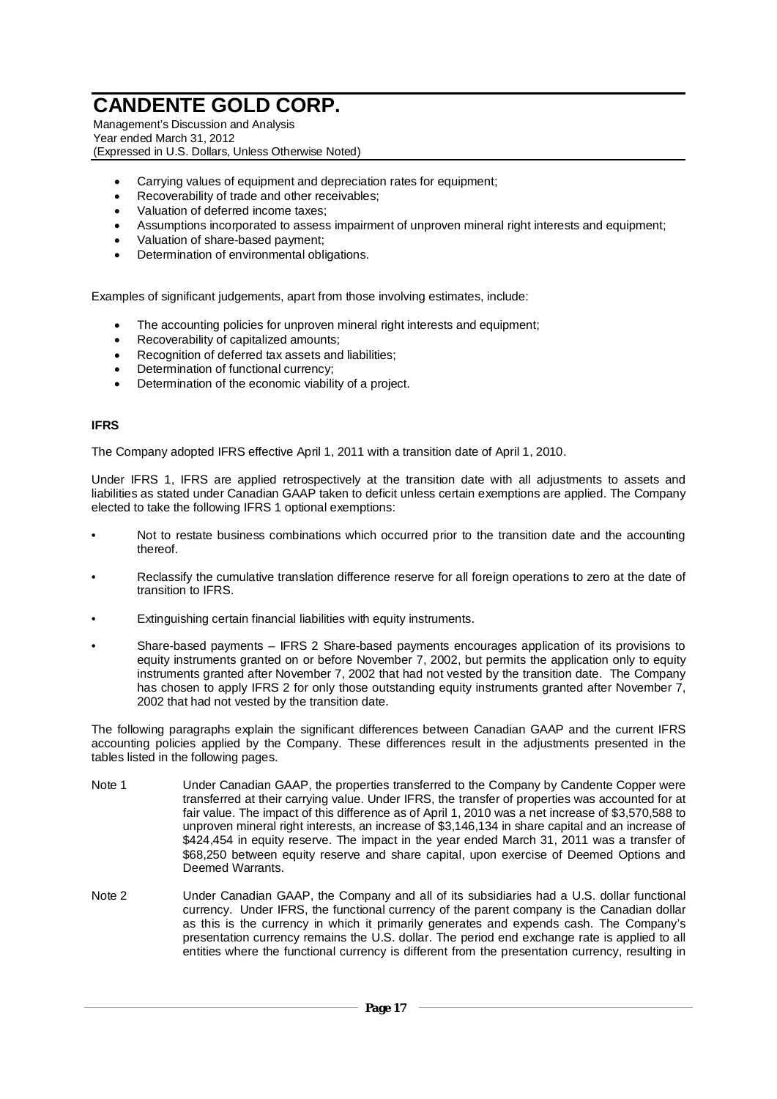Management's Discussion and Analysis Year ended March 31, 2012 (Expressed in U.S. Dollars, Unless Otherwise Noted)

- Carrying values of equipment and depreciation rates for equipment;
- Recoverability of trade and other receivables;
- Valuation of deferred income taxes;
- Assumptions incorporated to assess impairment of unproven mineral right interests and equipment;
- Valuation of share-based payment;
- Determination of environmental obligations.

Examples of significant judgements, apart from those involving estimates, include:

- The accounting policies for unproven mineral right interests and equipment;
- Recoverability of capitalized amounts;
- x Recognition of deferred tax assets and liabilities;
- Determination of functional currency;
- Determination of the economic viability of a project.

#### **IFRS**

The Company adopted IFRS effective April 1, 2011 with a transition date of April 1, 2010.

Under IFRS 1, IFRS are applied retrospectively at the transition date with all adjustments to assets and liabilities as stated under Canadian GAAP taken to deficit unless certain exemptions are applied. The Company elected to take the following IFRS 1 optional exemptions:

- Not to restate business combinations which occurred prior to the transition date and the accounting thereof.
- Reclassify the cumulative translation difference reserve for all foreign operations to zero at the date of transition to IFRS.
- Extinguishing certain financial liabilities with equity instruments.
- Share-based payments IFRS 2 Share-based payments encourages application of its provisions to equity instruments granted on or before November 7, 2002, but permits the application only to equity instruments granted after November 7, 2002 that had not vested by the transition date. The Company has chosen to apply IFRS 2 for only those outstanding equity instruments granted after November 7, 2002 that had not vested by the transition date.

The following paragraphs explain the significant differences between Canadian GAAP and the current IFRS accounting policies applied by the Company. These differences result in the adjustments presented in the tables listed in the following pages.

- Note 1 Under Canadian GAAP, the properties transferred to the Company by Candente Copper were transferred at their carrying value. Under IFRS, the transfer of properties was accounted for at fair value. The impact of this difference as of April 1, 2010 was a net increase of \$3,570,588 to unproven mineral right interests, an increase of \$3,146,134 in share capital and an increase of \$424,454 in equity reserve. The impact in the year ended March 31, 2011 was a transfer of \$68,250 between equity reserve and share capital, upon exercise of Deemed Options and Deemed Warrants.
- Note 2 Under Canadian GAAP, the Company and all of its subsidiaries had a U.S. dollar functional currency. Under IFRS, the functional currency of the parent company is the Canadian dollar as this is the currency in which it primarily generates and expends cash. The Company's presentation currency remains the U.S. dollar. The period end exchange rate is applied to all entities where the functional currency is different from the presentation currency, resulting in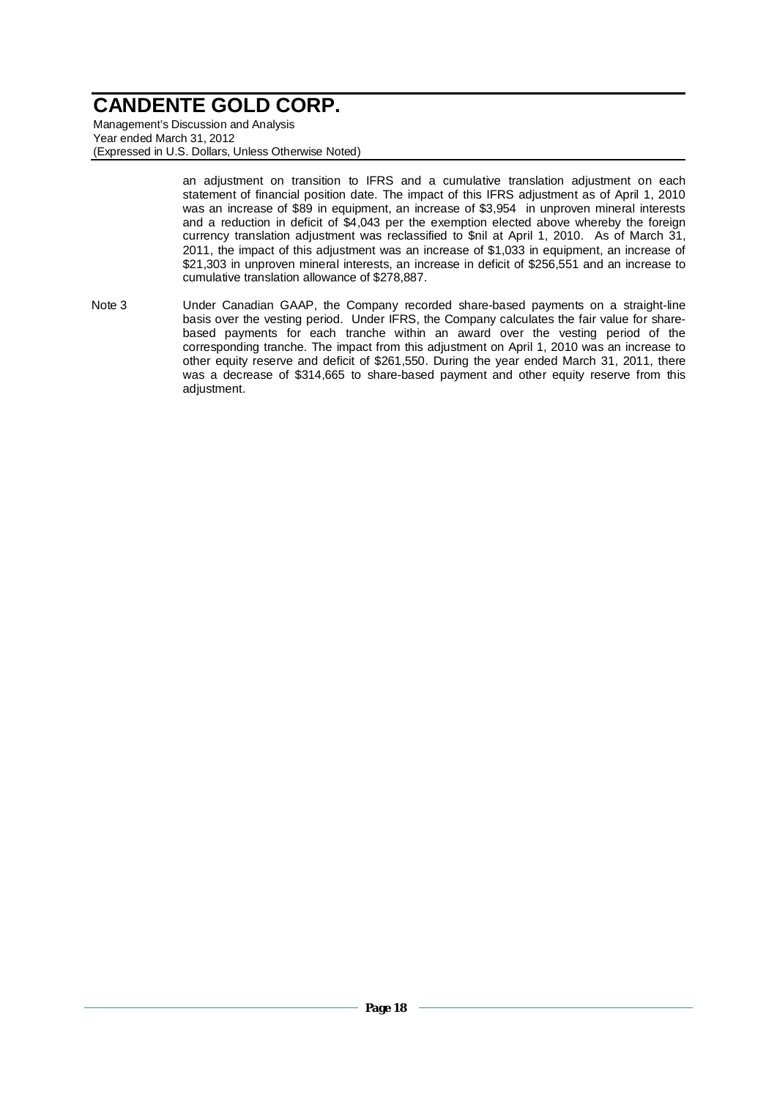Management's Discussion and Analysis Year ended March 31, 2012 (Expressed in U.S. Dollars, Unless Otherwise Noted)

> an adjustment on transition to IFRS and a cumulative translation adjustment on each statement of financial position date. The impact of this IFRS adjustment as of April 1, 2010 was an increase of \$89 in equipment, an increase of \$3,954 in unproven mineral interests and a reduction in deficit of \$4,043 per the exemption elected above whereby the foreign currency translation adjustment was reclassified to \$nil at April 1, 2010. As of March 31, 2011, the impact of this adjustment was an increase of \$1,033 in equipment, an increase of \$21,303 in unproven mineral interests, an increase in deficit of \$256,551 and an increase to cumulative translation allowance of \$278,887.

Note 3 Under Canadian GAAP, the Company recorded share-based payments on a straight-line basis over the vesting period. Under IFRS, the Company calculates the fair value for sharebased payments for each tranche within an award over the vesting period of the corresponding tranche. The impact from this adjustment on April 1, 2010 was an increase to other equity reserve and deficit of \$261,550. During the year ended March 31, 2011, there was a decrease of \$314,665 to share-based payment and other equity reserve from this adjustment.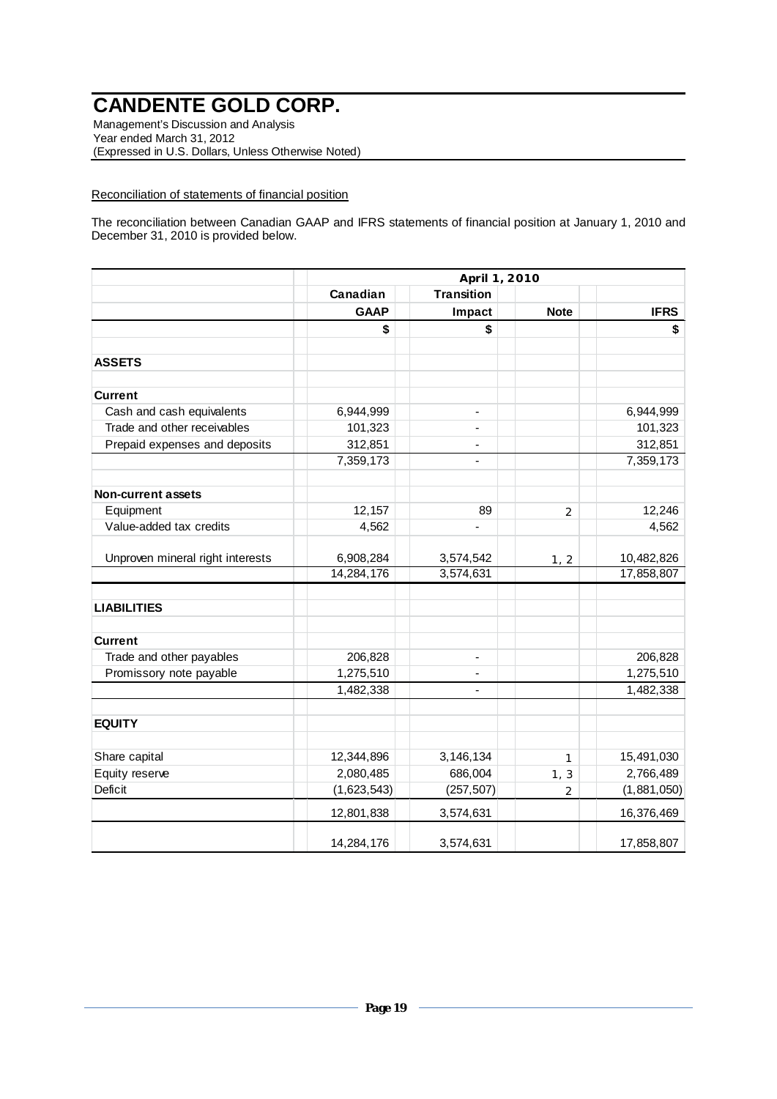Management's Discussion and Analysis Year ended March 31, 2012 (Expressed in U.S. Dollars, Unless Otherwise Noted)

### Reconciliation of statements of financial position

The reconciliation between Canadian GAAP and IFRS statements of financial position at January 1, 2010 and December 31, 2010 is provided below.

|                                  | April 1, 2010 |                              |                |             |  |  |
|----------------------------------|---------------|------------------------------|----------------|-------------|--|--|
|                                  | Canadian      | <b>Transition</b>            |                |             |  |  |
|                                  | <b>GAAP</b>   | Impact                       | <b>Note</b>    | <b>IFRS</b> |  |  |
|                                  | \$            | \$                           |                | \$          |  |  |
| <b>ASSETS</b>                    |               |                              |                |             |  |  |
| <b>Current</b>                   |               |                              |                |             |  |  |
| Cash and cash equivalents        | 6,944,999     | $\qquad \qquad \blacksquare$ |                | 6,944,999   |  |  |
| Trade and other receivables      | 101,323       |                              |                | 101,323     |  |  |
| Prepaid expenses and deposits    | 312,851       |                              |                | 312,851     |  |  |
|                                  | 7,359,173     | $\overline{a}$               |                | 7,359,173   |  |  |
| <b>Non-current assets</b>        |               |                              |                |             |  |  |
| Equipment                        | 12,157        | 89                           | $\overline{2}$ | 12,246      |  |  |
| Value-added tax credits          | 4,562         |                              |                | 4,562       |  |  |
| Unproven mineral right interests | 6,908,284     | 3,574,542                    | 1, 2           | 10,482,826  |  |  |
|                                  | 14,284,176    | 3,574,631                    |                | 17,858,807  |  |  |
| <b>LIABILITIES</b>               |               |                              |                |             |  |  |
| <b>Current</b>                   |               |                              |                |             |  |  |
| Trade and other payables         | 206,828       |                              |                | 206,828     |  |  |
| Promissory note payable          | 1,275,510     |                              |                | 1,275,510   |  |  |
|                                  | 1,482,338     | $\overline{\phantom{m}}$     |                | 1,482,338   |  |  |
| <b>EQUITY</b>                    |               |                              |                |             |  |  |
| Share capital                    | 12,344,896    | 3,146,134                    | 1              | 15,491,030  |  |  |
| Equity reserve                   | 2,080,485     | 686,004                      | 1, 3           | 2,766,489   |  |  |
| <b>Deficit</b>                   | (1,623,543)   | (257, 507)                   | $\overline{2}$ | (1,881,050) |  |  |
|                                  | 12,801,838    | 3,574,631                    |                | 16,376,469  |  |  |
|                                  | 14,284,176    | 3,574,631                    |                | 17,858,807  |  |  |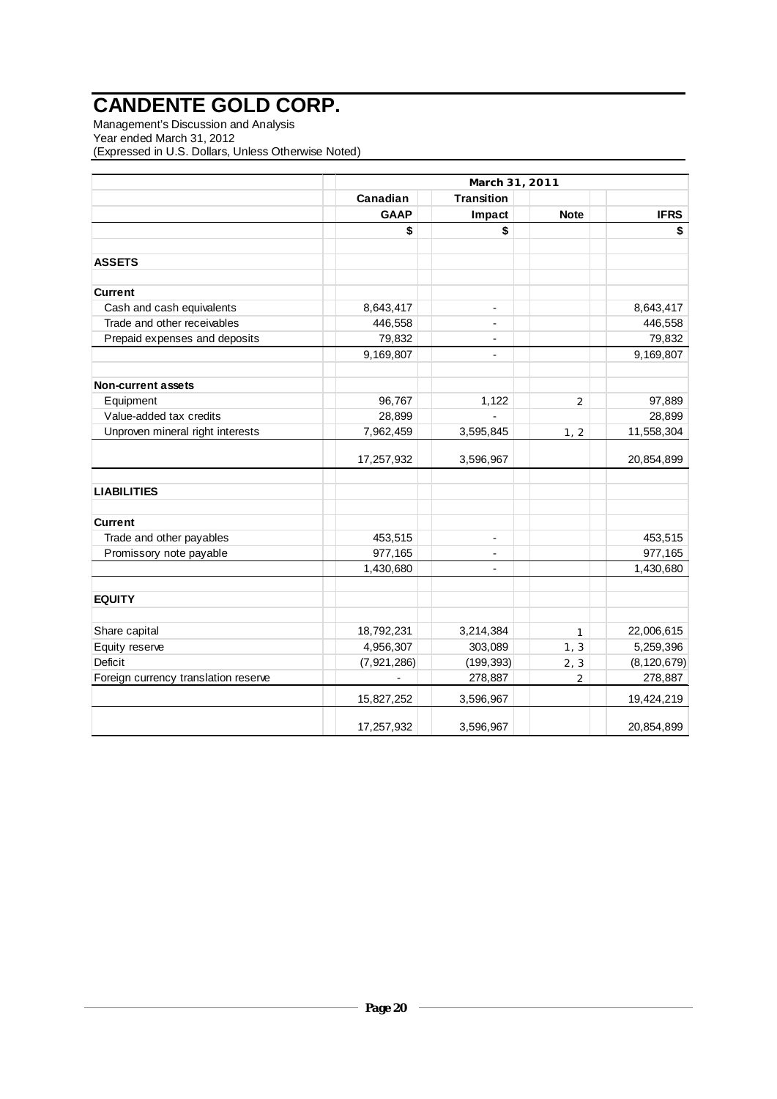Management's Discussion and Analysis Year ended March 31, 2012 (Expressed in U.S. Dollars, Unless Otherwise Noted)

|                                      | March 31, 2011 |                          |                |               |  |  |
|--------------------------------------|----------------|--------------------------|----------------|---------------|--|--|
|                                      | Canadian       | <b>Transition</b>        |                |               |  |  |
|                                      | <b>GAAP</b>    | Impact                   | <b>Note</b>    | <b>IFRS</b>   |  |  |
|                                      | \$             | \$                       |                | \$            |  |  |
|                                      |                |                          |                |               |  |  |
| <b>ASSETS</b>                        |                |                          |                |               |  |  |
| <b>Current</b>                       |                |                          |                |               |  |  |
| Cash and cash equivalents            | 8,643,417      | $\overline{\phantom{a}}$ |                | 8,643,417     |  |  |
| Trade and other receivables          | 446,558        | $\blacksquare$           |                | 446,558       |  |  |
| Prepaid expenses and deposits        | 79,832         |                          |                | 79,832        |  |  |
|                                      | 9,169,807      | $\overline{\phantom{a}}$ |                | 9,169,807     |  |  |
| <b>Non-current assets</b>            |                |                          |                |               |  |  |
| Equipment                            | 96,767         | 1,122                    | $\overline{2}$ | 97,889        |  |  |
| Value-added tax credits              | 28,899         |                          |                | 28,899        |  |  |
| Unproven mineral right interests     | 7,962,459      | 3,595,845                | 1, 2           | 11,558,304    |  |  |
|                                      | 17,257,932     | 3,596,967                |                | 20,854,899    |  |  |
| <b>LIABILITIES</b>                   |                |                          |                |               |  |  |
| <b>Current</b>                       |                |                          |                |               |  |  |
| Trade and other payables             | 453,515        | $\overline{\phantom{a}}$ |                | 453,515       |  |  |
| Promissory note payable              | 977,165        | $\overline{\phantom{a}}$ |                | 977,165       |  |  |
|                                      | 1,430,680      | $\overline{\phantom{a}}$ |                | 1,430,680     |  |  |
| <b>EQUITY</b>                        |                |                          |                |               |  |  |
| Share capital                        | 18,792,231     | 3,214,384                | $\mathbf{1}$   | 22,006,615    |  |  |
| Equity reserve                       | 4,956,307      | 303,089                  | 1, 3           | 5,259,396     |  |  |
| Deficit                              | (7,921,286)    | (199, 393)               | 2, 3           | (8, 120, 679) |  |  |
| Foreign currency translation reserve |                | 278,887                  | $\overline{2}$ | 278,887       |  |  |
|                                      | 15,827,252     | 3,596,967                |                | 19,424,219    |  |  |
|                                      | 17,257,932     | 3,596,967                |                | 20,854,899    |  |  |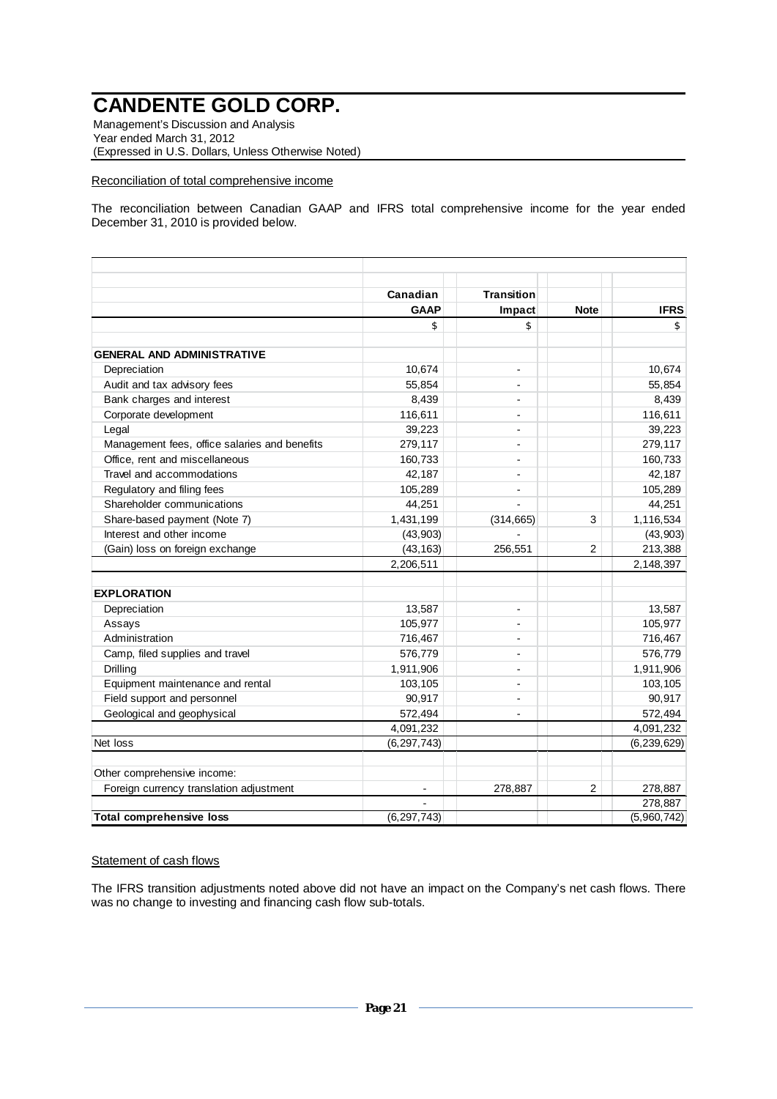Management's Discussion and Analysis Year ended March 31, 2012 (Expressed in U.S. Dollars, Unless Otherwise Noted)

#### Reconciliation of total comprehensive income

The reconciliation between Canadian GAAP and IFRS total comprehensive income for the year ended December 31, 2010 is provided below.

|                                               | Canadian      | <b>Transition</b>        |                |               |
|-----------------------------------------------|---------------|--------------------------|----------------|---------------|
|                                               | <b>GAAP</b>   | Impact                   | <b>Note</b>    | <b>IFRS</b>   |
|                                               | \$            | \$                       |                | \$            |
| <b>GENERAL AND ADMINISTRATIVE</b>             |               |                          |                |               |
| Depreciation                                  | 10,674        | $\overline{\phantom{a}}$ |                | 10,674        |
| Audit and tax advisory fees                   | 55,854        |                          |                | 55,854        |
| Bank charges and interest                     | 8,439         |                          |                | 8,439         |
| Corporate development                         | 116,611       |                          |                | 116,611       |
| Legal                                         | 39,223        |                          |                | 39,223        |
| Management fees, office salaries and benefits | 279,117       |                          |                | 279,117       |
| Office, rent and miscellaneous                | 160,733       |                          |                | 160,733       |
| Travel and accommodations                     | 42,187        | $\blacksquare$           |                | 42,187        |
| Regulatory and filing fees                    | 105,289       | $\blacksquare$           |                | 105,289       |
| Shareholder communications                    | 44,251        |                          |                | 44,251        |
| Share-based payment (Note 7)                  | 1,431,199     | (314, 665)               | 3              | 1,116,534     |
| Interest and other income                     | (43,903)      |                          |                | (43, 903)     |
| (Gain) loss on foreign exchange               | (43, 163)     | 256,551                  | $\overline{2}$ | 213,388       |
|                                               | 2,206,511     |                          |                | 2,148,397     |
|                                               |               |                          |                |               |
| <b>EXPLORATION</b>                            |               |                          |                |               |
| Depreciation                                  | 13,587        | $\overline{\phantom{a}}$ |                | 13,587        |
| Assays                                        | 105,977       |                          |                | 105,977       |
| Administration                                | 716,467       |                          |                | 716,467       |
| Camp, filed supplies and travel               | 576,779       | $\overline{a}$           |                | 576,779       |
| Drilling                                      | 1,911,906     |                          |                | 1,911,906     |
| Equipment maintenance and rental              | 103,105       | $\overline{a}$           |                | 103,105       |
| Field support and personnel                   | 90,917        | $\overline{a}$           |                | 90,917        |
| Geological and geophysical                    | 572,494       | $\overline{a}$           |                | 572,494       |
|                                               | 4,091,232     |                          |                | 4,091,232     |
| Net loss                                      | (6, 297, 743) |                          |                | (6, 239, 629) |
| Other comprehensive income:                   |               |                          |                |               |
| Foreign currency translation adjustment       |               | 278,887                  | $\overline{2}$ | 278,887       |
|                                               |               |                          |                | 278,887       |
| <b>Total comprehensive loss</b>               | (6, 297, 743) |                          |                | (5,960,742)   |

### Statement of cash flows

The IFRS transition adjustments noted above did not have an impact on the Company's net cash flows. There was no change to investing and financing cash flow sub-totals.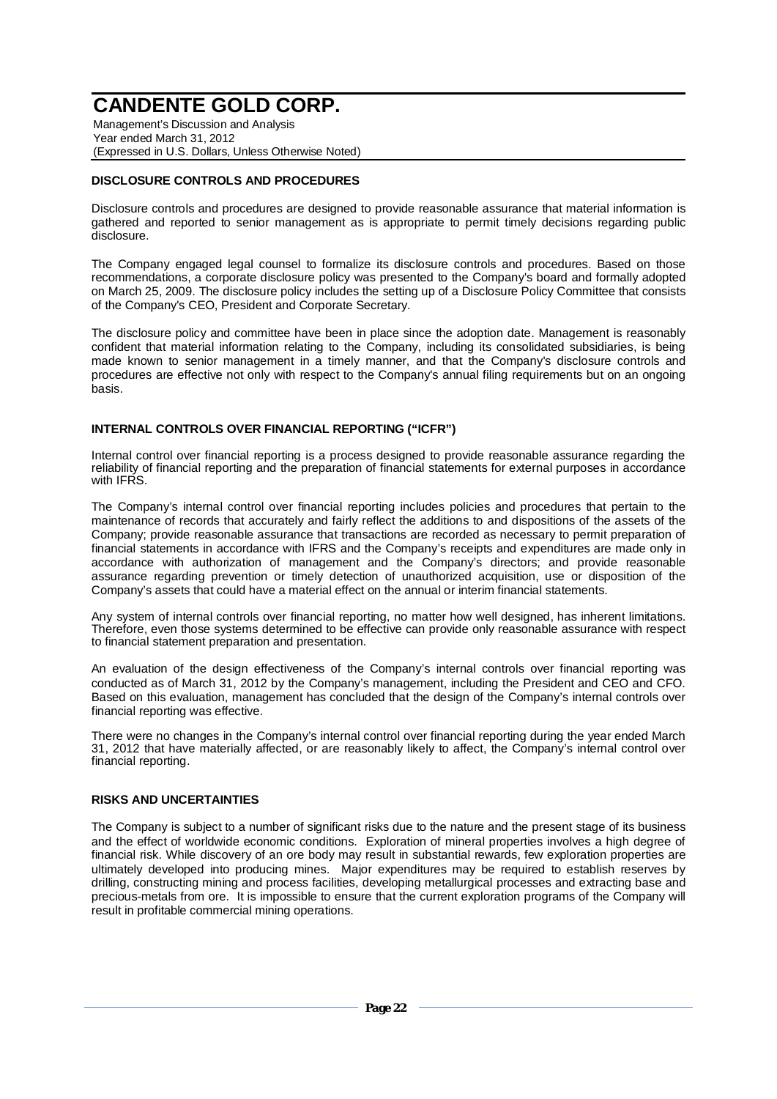Management's Discussion and Analysis Year ended March 31, 2012 (Expressed in U.S. Dollars, Unless Otherwise Noted)

## **DISCLOSURE CONTROLS AND PROCEDURES**

Disclosure controls and procedures are designed to provide reasonable assurance that material information is gathered and reported to senior management as is appropriate to permit timely decisions regarding public disclosure.

The Company engaged legal counsel to formalize its disclosure controls and procedures. Based on those recommendations, a corporate disclosure policy was presented to the Company's board and formally adopted on March 25, 2009. The disclosure policy includes the setting up of a Disclosure Policy Committee that consists of the Company's CEO, President and Corporate Secretary.

The disclosure policy and committee have been in place since the adoption date. Management is reasonably confident that material information relating to the Company, including its consolidated subsidiaries, is being made known to senior management in a timely manner, and that the Company's disclosure controls and procedures are effective not only with respect to the Company's annual filing requirements but on an ongoing basis.

## **INTERNAL CONTROLS OVER FINANCIAL REPORTING ("ICFR")**

Internal control over financial reporting is a process designed to provide reasonable assurance regarding the reliability of financial reporting and the preparation of financial statements for external purposes in accordance with IFRS.

The Company's internal control over financial reporting includes policies and procedures that pertain to the maintenance of records that accurately and fairly reflect the additions to and dispositions of the assets of the Company; provide reasonable assurance that transactions are recorded as necessary to permit preparation of financial statements in accordance with IFRS and the Company's receipts and expenditures are made only in accordance with authorization of management and the Company's directors; and provide reasonable assurance regarding prevention or timely detection of unauthorized acquisition, use or disposition of the Company's assets that could have a material effect on the annual or interim financial statements.

Any system of internal controls over financial reporting, no matter how well designed, has inherent limitations. Therefore, even those systems determined to be effective can provide only reasonable assurance with respect to financial statement preparation and presentation.

An evaluation of the design effectiveness of the Company's internal controls over financial reporting was conducted as of March 31, 2012 by the Company's management, including the President and CEO and CFO. Based on this evaluation, management has concluded that the design of the Company's internal controls over financial reporting was effective.

There were no changes in the Company's internal control over financial reporting during the year ended March 31, 2012 that have materially affected, or are reasonably likely to affect, the Company's internal control over financial reporting.

### **RISKS AND UNCERTAINTIES**

The Company is subject to a number of significant risks due to the nature and the present stage of its business and the effect of worldwide economic conditions. Exploration of mineral properties involves a high degree of financial risk. While discovery of an ore body may result in substantial rewards, few exploration properties are ultimately developed into producing mines. Major expenditures may be required to establish reserves by drilling, constructing mining and process facilities, developing metallurgical processes and extracting base and precious-metals from ore. It is impossible to ensure that the current exploration programs of the Company will result in profitable commercial mining operations.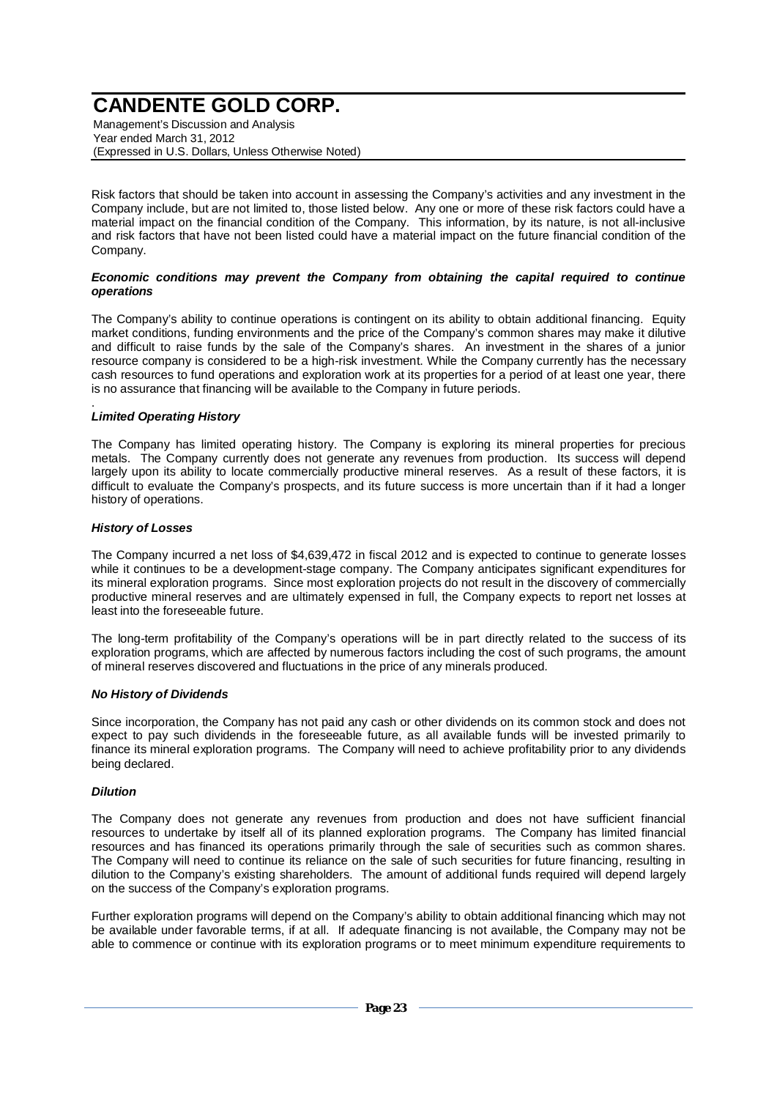Management's Discussion and Analysis Year ended March 31, 2012 (Expressed in U.S. Dollars, Unless Otherwise Noted)

Risk factors that should be taken into account in assessing the Company's activities and any investment in the Company include, but are not limited to, those listed below. Any one or more of these risk factors could have a material impact on the financial condition of the Company. This information, by its nature, is not all-inclusive and risk factors that have not been listed could have a material impact on the future financial condition of the Company.

#### *Economic conditions may prevent the Company from obtaining the capital required to continue operations*

The Company's ability to continue operations is contingent on its ability to obtain additional financing. Equity market conditions, funding environments and the price of the Company's common shares may make it dilutive and difficult to raise funds by the sale of the Company's shares. An investment in the shares of a junior resource company is considered to be a high-risk investment. While the Company currently has the necessary cash resources to fund operations and exploration work at its properties for a period of at least one year, there is no assurance that financing will be available to the Company in future periods.

#### . *Limited Operating History*

The Company has limited operating history. The Company is exploring its mineral properties for precious metals. The Company currently does not generate any revenues from production. Its success will depend largely upon its ability to locate commercially productive mineral reserves. As a result of these factors, it is difficult to evaluate the Company's prospects, and its future success is more uncertain than if it had a longer history of operations.

### *History of Losses*

The Company incurred a net loss of \$4,639,472 in fiscal 2012 and is expected to continue to generate losses while it continues to be a development-stage company. The Company anticipates significant expenditures for its mineral exploration programs. Since most exploration projects do not result in the discovery of commercially productive mineral reserves and are ultimately expensed in full, the Company expects to report net losses at least into the foreseeable future.

The long-term profitability of the Company's operations will be in part directly related to the success of its exploration programs, which are affected by numerous factors including the cost of such programs, the amount of mineral reserves discovered and fluctuations in the price of any minerals produced.

### *No History of Dividends*

Since incorporation, the Company has not paid any cash or other dividends on its common stock and does not expect to pay such dividends in the foreseeable future, as all available funds will be invested primarily to finance its mineral exploration programs. The Company will need to achieve profitability prior to any dividends being declared.

### *Dilution*

The Company does not generate any revenues from production and does not have sufficient financial resources to undertake by itself all of its planned exploration programs. The Company has limited financial resources and has financed its operations primarily through the sale of securities such as common shares. The Company will need to continue its reliance on the sale of such securities for future financing, resulting in dilution to the Company's existing shareholders. The amount of additional funds required will depend largely on the success of the Company's exploration programs.

Further exploration programs will depend on the Company's ability to obtain additional financing which may not be available under favorable terms, if at all. If adequate financing is not available, the Company may not be able to commence or continue with its exploration programs or to meet minimum expenditure requirements to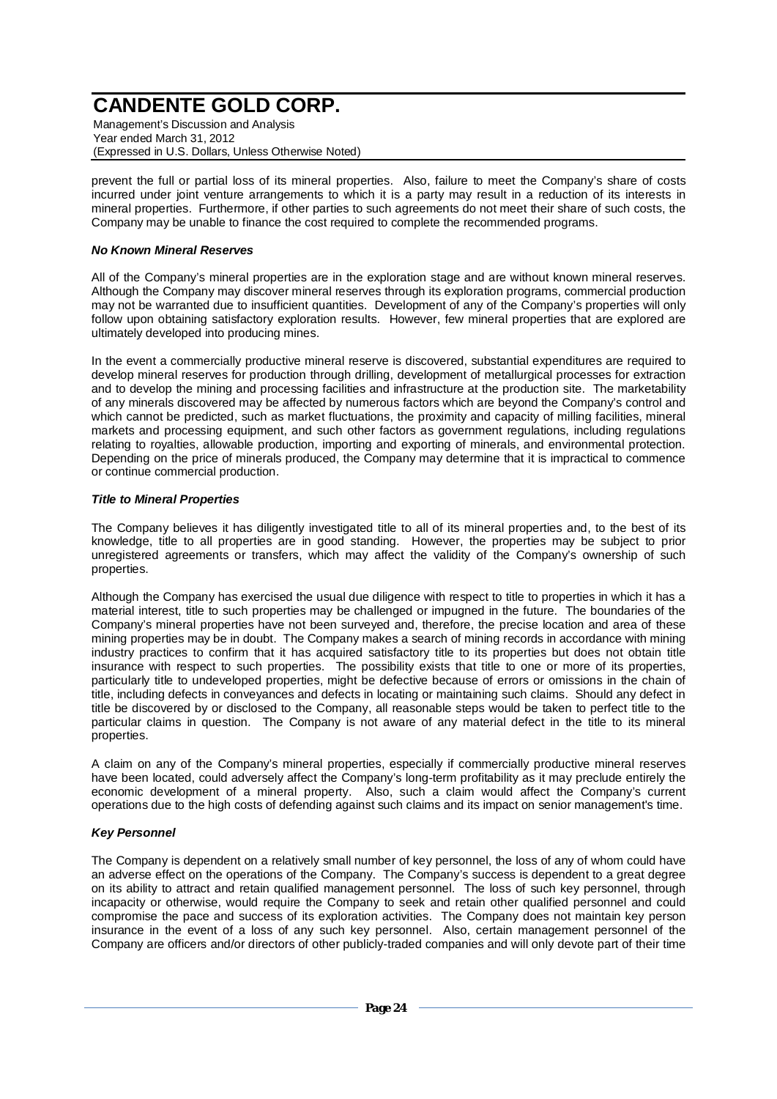Management's Discussion and Analysis Year ended March 31, 2012 (Expressed in U.S. Dollars, Unless Otherwise Noted)

prevent the full or partial loss of its mineral properties. Also, failure to meet the Company's share of costs incurred under joint venture arrangements to which it is a party may result in a reduction of its interests in mineral properties. Furthermore, if other parties to such agreements do not meet their share of such costs, the Company may be unable to finance the cost required to complete the recommended programs.

## *No Known Mineral Reserves*

All of the Company's mineral properties are in the exploration stage and are without known mineral reserves. Although the Company may discover mineral reserves through its exploration programs, commercial production may not be warranted due to insufficient quantities. Development of any of the Company's properties will only follow upon obtaining satisfactory exploration results. However, few mineral properties that are explored are ultimately developed into producing mines.

In the event a commercially productive mineral reserve is discovered, substantial expenditures are required to develop mineral reserves for production through drilling, development of metallurgical processes for extraction and to develop the mining and processing facilities and infrastructure at the production site. The marketability of any minerals discovered may be affected by numerous factors which are beyond the Company's control and which cannot be predicted, such as market fluctuations, the proximity and capacity of milling facilities, mineral markets and processing equipment, and such other factors as government regulations, including regulations relating to royalties, allowable production, importing and exporting of minerals, and environmental protection. Depending on the price of minerals produced, the Company may determine that it is impractical to commence or continue commercial production.

### *Title to Mineral Properties*

The Company believes it has diligently investigated title to all of its mineral properties and, to the best of its knowledge, title to all properties are in good standing. However, the properties may be subject to prior unregistered agreements or transfers, which may affect the validity of the Company's ownership of such properties.

Although the Company has exercised the usual due diligence with respect to title to properties in which it has a material interest, title to such properties may be challenged or impugned in the future. The boundaries of the Company's mineral properties have not been surveyed and, therefore, the precise location and area of these mining properties may be in doubt. The Company makes a search of mining records in accordance with mining industry practices to confirm that it has acquired satisfactory title to its properties but does not obtain title insurance with respect to such properties. The possibility exists that title to one or more of its properties, particularly title to undeveloped properties, might be defective because of errors or omissions in the chain of title, including defects in conveyances and defects in locating or maintaining such claims. Should any defect in title be discovered by or disclosed to the Company, all reasonable steps would be taken to perfect title to the particular claims in question. The Company is not aware of any material defect in the title to its mineral properties.

A claim on any of the Company's mineral properties, especially if commercially productive mineral reserves have been located, could adversely affect the Company's long-term profitability as it may preclude entirely the economic development of a mineral property. Also, such a claim would affect the Company's current operations due to the high costs of defending against such claims and its impact on senior management's time.

## *Key Personnel*

The Company is dependent on a relatively small number of key personnel, the loss of any of whom could have an adverse effect on the operations of the Company. The Company's success is dependent to a great degree on its ability to attract and retain qualified management personnel. The loss of such key personnel, through incapacity or otherwise, would require the Company to seek and retain other qualified personnel and could compromise the pace and success of its exploration activities. The Company does not maintain key person insurance in the event of a loss of any such key personnel. Also, certain management personnel of the Company are officers and/or directors of other publicly-traded companies and will only devote part of their time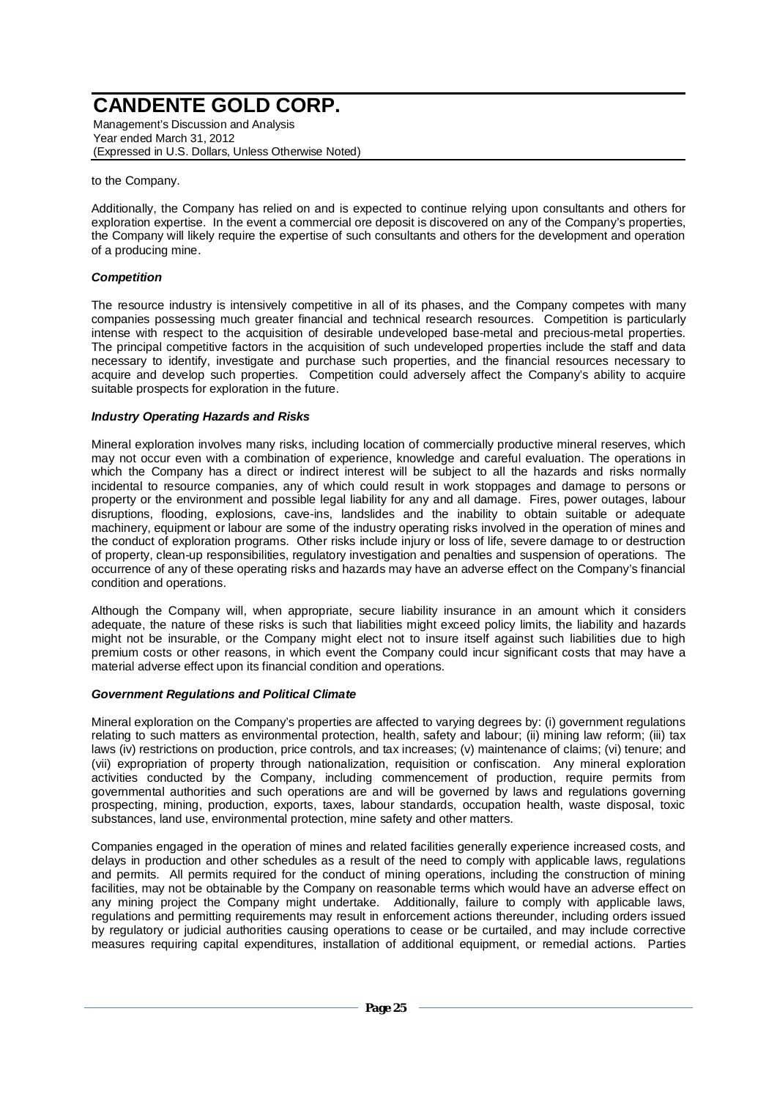Management's Discussion and Analysis Year ended March 31, 2012 (Expressed in U.S. Dollars, Unless Otherwise Noted)

to the Company.

Additionally, the Company has relied on and is expected to continue relying upon consultants and others for exploration expertise. In the event a commercial ore deposit is discovered on any of the Company's properties, the Company will likely require the expertise of such consultants and others for the development and operation of a producing mine.

## *Competition*

The resource industry is intensively competitive in all of its phases, and the Company competes with many companies possessing much greater financial and technical research resources. Competition is particularly intense with respect to the acquisition of desirable undeveloped base-metal and precious-metal properties. The principal competitive factors in the acquisition of such undeveloped properties include the staff and data necessary to identify, investigate and purchase such properties, and the financial resources necessary to acquire and develop such properties. Competition could adversely affect the Company's ability to acquire suitable prospects for exploration in the future.

### *Industry Operating Hazards and Risks*

Mineral exploration involves many risks, including location of commercially productive mineral reserves, which may not occur even with a combination of experience, knowledge and careful evaluation. The operations in which the Company has a direct or indirect interest will be subject to all the hazards and risks normally incidental to resource companies, any of which could result in work stoppages and damage to persons or property or the environment and possible legal liability for any and all damage. Fires, power outages, labour disruptions, flooding, explosions, cave-ins, landslides and the inability to obtain suitable or adequate machinery, equipment or labour are some of the industry operating risks involved in the operation of mines and the conduct of exploration programs. Other risks include injury or loss of life, severe damage to or destruction of property, clean-up responsibilities, regulatory investigation and penalties and suspension of operations. The occurrence of any of these operating risks and hazards may have an adverse effect on the Company's financial condition and operations.

Although the Company will, when appropriate, secure liability insurance in an amount which it considers adequate, the nature of these risks is such that liabilities might exceed policy limits, the liability and hazards might not be insurable, or the Company might elect not to insure itself against such liabilities due to high premium costs or other reasons, in which event the Company could incur significant costs that may have a material adverse effect upon its financial condition and operations.

### *Government Regulations and Political Climate*

Mineral exploration on the Company's properties are affected to varying degrees by: (i) government regulations relating to such matters as environmental protection, health, safety and labour; (ii) mining law reform; (iii) tax laws (iv) restrictions on production, price controls, and tax increases; (v) maintenance of claims; (vi) tenure; and (vii) expropriation of property through nationalization, requisition or confiscation. Any mineral exploration activities conducted by the Company, including commencement of production, require permits from governmental authorities and such operations are and will be governed by laws and regulations governing prospecting, mining, production, exports, taxes, labour standards, occupation health, waste disposal, toxic substances, land use, environmental protection, mine safety and other matters.

Companies engaged in the operation of mines and related facilities generally experience increased costs, and delays in production and other schedules as a result of the need to comply with applicable laws, regulations and permits. All permits required for the conduct of mining operations, including the construction of mining facilities, may not be obtainable by the Company on reasonable terms which would have an adverse effect on any mining project the Company might undertake. Additionally, failure to comply with applicable laws, regulations and permitting requirements may result in enforcement actions thereunder, including orders issued by regulatory or judicial authorities causing operations to cease or be curtailed, and may include corrective measures requiring capital expenditures, installation of additional equipment, or remedial actions. Parties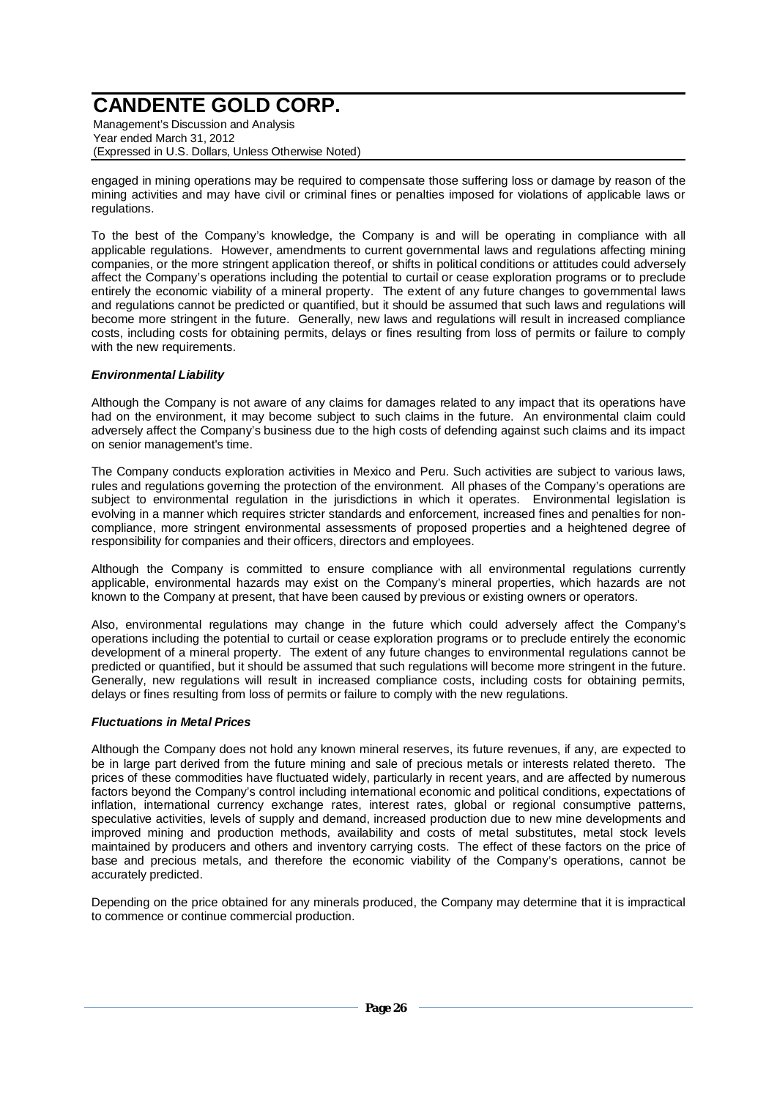Management's Discussion and Analysis Year ended March 31, 2012 (Expressed in U.S. Dollars, Unless Otherwise Noted)

engaged in mining operations may be required to compensate those suffering loss or damage by reason of the mining activities and may have civil or criminal fines or penalties imposed for violations of applicable laws or regulations.

To the best of the Company's knowledge, the Company is and will be operating in compliance with all applicable regulations. However, amendments to current governmental laws and regulations affecting mining companies, or the more stringent application thereof, or shifts in political conditions or attitudes could adversely affect the Company's operations including the potential to curtail or cease exploration programs or to preclude entirely the economic viability of a mineral property. The extent of any future changes to governmental laws and regulations cannot be predicted or quantified, but it should be assumed that such laws and regulations will become more stringent in the future. Generally, new laws and regulations will result in increased compliance costs, including costs for obtaining permits, delays or fines resulting from loss of permits or failure to comply with the new requirements.

### *Environmental Liability*

Although the Company is not aware of any claims for damages related to any impact that its operations have had on the environment, it may become subject to such claims in the future. An environmental claim could adversely affect the Company's business due to the high costs of defending against such claims and its impact on senior management's time.

The Company conducts exploration activities in Mexico and Peru. Such activities are subject to various laws, rules and regulations governing the protection of the environment. All phases of the Company's operations are subject to environmental regulation in the jurisdictions in which it operates. Environmental legislation is evolving in a manner which requires stricter standards and enforcement, increased fines and penalties for noncompliance, more stringent environmental assessments of proposed properties and a heightened degree of responsibility for companies and their officers, directors and employees.

Although the Company is committed to ensure compliance with all environmental regulations currently applicable, environmental hazards may exist on the Company's mineral properties, which hazards are not known to the Company at present, that have been caused by previous or existing owners or operators.

Also, environmental regulations may change in the future which could adversely affect the Company's operations including the potential to curtail or cease exploration programs or to preclude entirely the economic development of a mineral property. The extent of any future changes to environmental regulations cannot be predicted or quantified, but it should be assumed that such regulations will become more stringent in the future. Generally, new regulations will result in increased compliance costs, including costs for obtaining permits, delays or fines resulting from loss of permits or failure to comply with the new regulations.

### *Fluctuations in Metal Prices*

Although the Company does not hold any known mineral reserves, its future revenues, if any, are expected to be in large part derived from the future mining and sale of precious metals or interests related thereto. The prices of these commodities have fluctuated widely, particularly in recent years, and are affected by numerous factors beyond the Company's control including international economic and political conditions, expectations of inflation, international currency exchange rates, interest rates, global or regional consumptive patterns, speculative activities, levels of supply and demand, increased production due to new mine developments and improved mining and production methods, availability and costs of metal substitutes, metal stock levels maintained by producers and others and inventory carrying costs. The effect of these factors on the price of base and precious metals, and therefore the economic viability of the Company's operations, cannot be accurately predicted.

Depending on the price obtained for any minerals produced, the Company may determine that it is impractical to commence or continue commercial production.